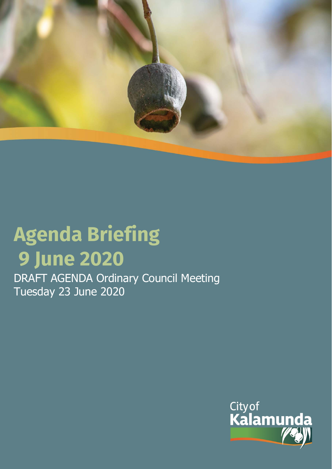

# **Agenda Briefing 9 June 2020**

DRAFT AGENDA Ordinary Council Meeting Tuesday 23 June 2020

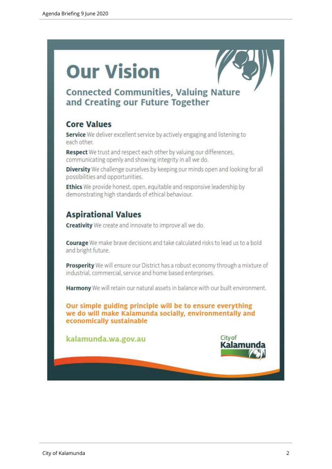# **Our Vision**



# **Connected Communities, Valuing Nature** and Creating our Future Together

# **Core Values**

Service We deliver excellent service by actively engaging and listening to each other.

Respect We trust and respect each other by valuing our differences, communicating openly and showing integrity in all we do.

Diversity We challenge ourselves by keeping our minds open and looking for all possibilities and opportunities.

Ethics We provide honest, open, equitable and responsive leadership by demonstrating high standards of ethical behaviour.

# **Aspirational Values**

**Creativity** We create and innovate to improve all we do.

Courage We make brave decisions and take calculated risks to lead us to a bold and bright future.

Prosperity We will ensure our District has a robust economy through a mixture of industrial, commercial, service and home based enterprises.

Harmony We will retain our natural assets in balance with our built environment.

Our simple guiding principle will be to ensure everything we do will make Kalamunda socially, environmentally and economically sustainable

kalamunda.wa.gov.au

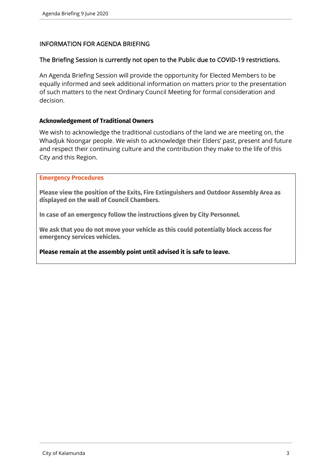# INFORMATION FOR AGENDA BRIEFING

# The Briefing Session is currently not open to the Public due to COVID-19 restrictions.

An Agenda Briefing Session will provide the opportunity for Elected Members to be equally informed and seek additional information on matters prior to the presentation of such matters to the next Ordinary Council Meeting for formal consideration and decision.

#### **Acknowledgement of Traditional Owners**

We wish to acknowledge the traditional custodians of the land we are meeting on, the Whadjuk Noongar people. We wish to acknowledge their Elders' past, present and future and respect their continuing culture and the contribution they make to the life of this City and this Region.

#### **Emergency Procedures**

**Please view the position of the Exits, Fire Extinguishers and Outdoor Assembly Area as displayed on the wall of Council Chambers.** 

**In case of an emergency follow the instructions given by City Personnel.** 

**We ask that you do not move your vehicle as this could potentially block access for emergency services vehicles.** 

**Please remain at the assembly point until advised it is safe to leave.**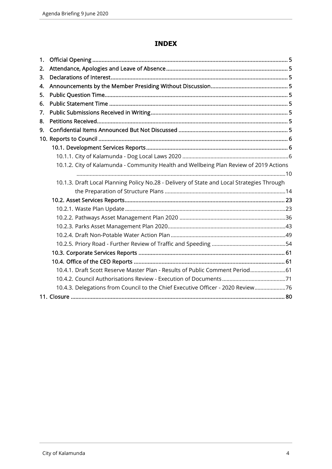# **INDEX**

| 1. |                                                                                            |  |
|----|--------------------------------------------------------------------------------------------|--|
| 2. |                                                                                            |  |
| 3. |                                                                                            |  |
| 4. |                                                                                            |  |
| 5. |                                                                                            |  |
| 6. |                                                                                            |  |
| 7. |                                                                                            |  |
| 8. |                                                                                            |  |
| 9. |                                                                                            |  |
|    |                                                                                            |  |
|    |                                                                                            |  |
|    |                                                                                            |  |
|    | 10.1.2. City of Kalamunda - Community Health and Wellbeing Plan Review of 2019 Actions     |  |
|    |                                                                                            |  |
|    | 10.1.3. Draft Local Planning Policy No.28 - Delivery of State and Local Strategies Through |  |
|    |                                                                                            |  |
|    |                                                                                            |  |
|    |                                                                                            |  |
|    |                                                                                            |  |
|    |                                                                                            |  |
|    |                                                                                            |  |
|    |                                                                                            |  |
|    |                                                                                            |  |
|    |                                                                                            |  |
|    | 10.4.1. Draft Scott Reserve Master Plan - Results of Public Comment Period 61              |  |
|    |                                                                                            |  |
|    | 10.4.3. Delegations from Council to the Chief Executive Officer - 2020 Review 76           |  |
|    |                                                                                            |  |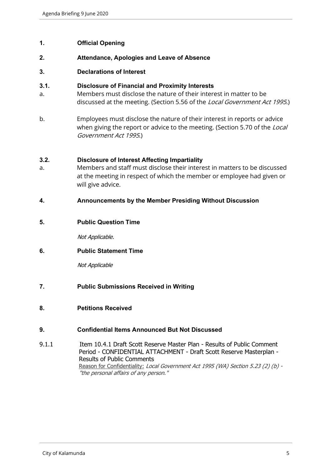# **1. Official Opening**

# **2. Attendance, Apologies and Leave of Absence**

#### **3. Declarations of Interest**

# **3.1. Disclosure of Financial and Proximity Interests**

- a. Members must disclose the nature of their interest in matter to be discussed at the meeting. (Section 5.56 of the *Local Government Act 1995*.)
- b. Employees must disclose the nature of their interest in reports or advice when giving the report or advice to the meeting. (Section 5.70 of the Local Government Act 1995.)

#### **3.2. Disclosure of Interest Affecting Impartiality**

a. Members and staff must disclose their interest in matters to be discussed at the meeting in respect of which the member or employee had given or will give advice.

#### **4. Announcements by the Member Presiding Without Discussion**

**5. Public Question Time**

Not Applicable.

# **6. Public Statement Time**

Not Applicable

- **7. Public Submissions Received in Writing**
- **8. Petitions Received**

#### **9. Confidential Items Announced But Not Discussed**

9.1.1 Item 10.4.1 Draft Scott Reserve Master Plan - Results of Public Comment Period - CONFIDENTIAL ATTACHMENT - Draft Scott Reserve Masterplan - Results of Public Comments Reason for Confidentiality: Local Government Act 1995 (WA) Section 5.23 (2) (b) -"the personal affairs of any person."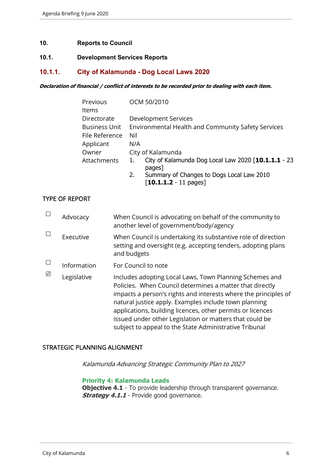#### **10. Reports to Council**

#### **10.1. Development Services Reports**

#### **10.1.1. City of Kalamunda - Dog Local Laws 2020**

#### **Declaration of financial / conflict of interests to be recorded prior to dealing with each item.**

| Previous             | OCM 50/2010                                                                                    |
|----------------------|------------------------------------------------------------------------------------------------|
| Items                |                                                                                                |
| Directorate          | Development Services                                                                           |
| <b>Business Unit</b> | Environmental Health and Community Safety Services                                             |
| File Reference       | Nil                                                                                            |
| Applicant            | N/A                                                                                            |
| Owner                | City of Kalamunda                                                                              |
| Attachments          | City of Kalamunda Dog Local Law 2020 [10.1.1.1 - 23<br>pages]                                  |
|                      | Summary of Changes to Dogs Local Law 2010<br>2.<br>$\lceil 10.1.1.2 - 11 \text{ pages} \rceil$ |

# TYPE OF REPORT

|   | Advocacy    | When Council is advocating on behalf of the community to<br>another level of government/body/agency                                                                                                                                                                                                                                                                                                                                |
|---|-------------|------------------------------------------------------------------------------------------------------------------------------------------------------------------------------------------------------------------------------------------------------------------------------------------------------------------------------------------------------------------------------------------------------------------------------------|
|   | Executive   | When Council is undertaking its substantive role of direction<br>setting and oversight (e.g. accepting tenders, adopting plans<br>and budgets                                                                                                                                                                                                                                                                                      |
|   | Information | For Council to note                                                                                                                                                                                                                                                                                                                                                                                                                |
| ⊠ | Legislative | Includes adopting Local Laws, Town Planning Schemes and<br>Policies. When Council determines a matter that directly<br>impacts a person's rights and interests where the principles of<br>natural justice apply. Examples include town planning<br>applications, building licences, other permits or licences<br>issued under other Legislation or matters that could be<br>subject to appeal to the State Administrative Tribunal |

#### STRATEGIC PLANNING ALIGNMENT

Kalamunda Advancing Strategic Community Plan to 2027

#### **Priority 4: Kalamunda Leads**

**Objective 4.1** - To provide leadership through transparent governance. **Strategy 4.1.1** - Provide good governance.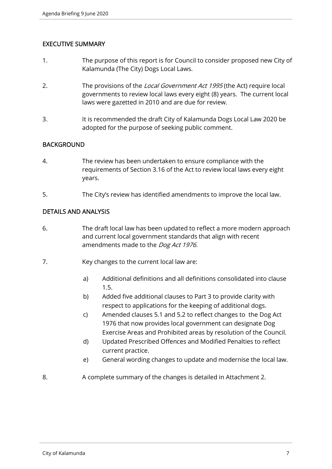# EXECUTIVE SUMMARY

- 1. The purpose of this report is for Council to consider proposed new City of Kalamunda (The City) Dogs Local Laws.
- 2. The provisions of the Local Government Act 1995 (the Act) require local governments to review local laws every eight (8) years. The current local laws were gazetted in 2010 and are due for review.
- 3. It is recommended the draft City of Kalamunda Dogs Local Law 2020 be adopted for the purpose of seeking public comment.

# BACKGROUND

- 4. The review has been undertaken to ensure compliance with the requirements of Section 3.16 of the Act to review local laws every eight years.
- 5. The City's review has identified amendments to improve the local law.

# DETAILS AND ANALYSIS

- 6. The draft local law has been updated to reflect a more modern approach and current local government standards that align with recent amendments made to the Dog Act 1976.
- 7. Key changes to the current local law are:
	- a) Additional definitions and all definitions consolidated into clause 1.5.
	- b) Added five additional clauses to Part 3 to provide clarity with respect to applications for the keeping of additional dogs.
	- c) Amended clauses 5.1 and 5.2 to reflect changes to the Dog Act 1976 that now provides local government can designate Dog Exercise Areas and Prohibited areas by resolution of the Council.
	- d) Updated Prescribed Offences and Modified Penalties to reflect current practice.
	- e) General wording changes to update and modernise the local law.
- 8. A complete summary of the changes is detailed in Attachment 2.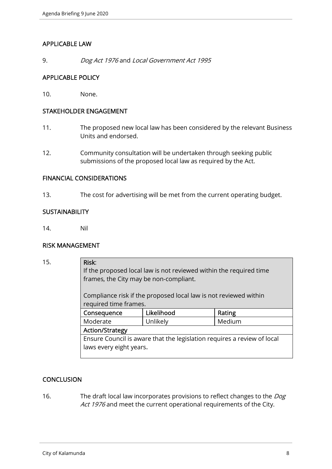# APPLICABLE LAW

9. Dog Act 1976 and Local Government Act 1995

# APPLICABLE POLICY

10. None.

# STAKEHOLDER ENGAGEMENT

- 11. The proposed new local law has been considered by the relevant Business Units and endorsed.
- 12. Community consultation will be undertaken through seeking public submissions of the proposed local law as required by the Act.

# FINANCIAL CONSIDERATIONS

13. The cost for advertising will be met from the current operating budget.

# **SUSTAINABILITY**

14. Nil

#### RISK MANAGEMENT

| 15. | Risk:<br>frames, the City may be non-compliant.                                           | If the proposed local law is not reviewed within the required time |        |  |
|-----|-------------------------------------------------------------------------------------------|--------------------------------------------------------------------|--------|--|
|     | Compliance risk if the proposed local law is not reviewed within<br>required time frames. |                                                                    |        |  |
|     | Consequence                                                                               | Likelihood                                                         | Rating |  |
|     | Moderate                                                                                  | Unlikely                                                           | Medium |  |
|     | <b>Action/Strategy</b>                                                                    |                                                                    |        |  |
|     | Ensure Council is aware that the legislation requires a review of local                   |                                                                    |        |  |
|     | laws every eight years.                                                                   |                                                                    |        |  |

# **CONCLUSION**

16. The draft local law incorporates provisions to reflect changes to the *Dog* Act 1976 and meet the current operational requirements of the City.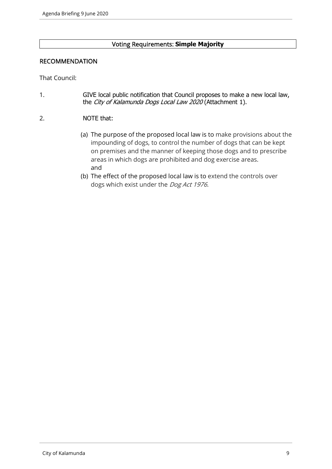# Voting Requirements: **Simple Majority**

# RECOMMENDATION

That Council:

- 1. GIVE local public notification that Council proposes to make a new local law, the City of Kalamunda Dogs Local Law 2020 (Attachment 1).
- 2. NOTE that:
	- (a) The purpose of the proposed local law is to make provisions about the impounding of dogs, to control the number of dogs that can be kept on premises and the manner of keeping those dogs and to prescribe areas in which dogs are prohibited and dog exercise areas. and
	- (b) The effect of the proposed local law is to extend the controls over dogs which exist under the Dog Act 1976.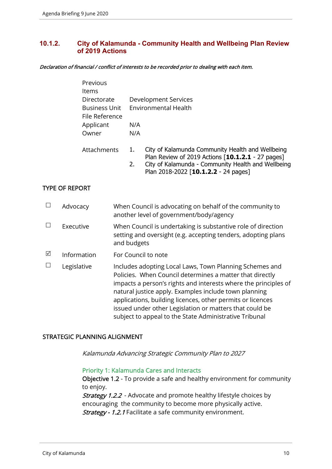# **10.1.2. City of Kalamunda - Community Health and Wellbeing Plan Review of 2019 Actions**

Declaration of financial / conflict of interests to be recorded prior to dealing with each item.

| Previous             |                                                                                                                 |
|----------------------|-----------------------------------------------------------------------------------------------------------------|
| Items                |                                                                                                                 |
| Directorate          | Development Services                                                                                            |
| <b>Business Unit</b> | <b>Environmental Health</b>                                                                                     |
| File Reference       |                                                                                                                 |
| Applicant            | N/A                                                                                                             |
| Owner                | N/A                                                                                                             |
| Attachments          | City of Kalamunda Community Health and Wellbeing<br>1.                                                          |
|                      | Plan Review of 2019 Actions [10.1.2.1 - 27 pages]<br>$C$ ity of Kalamunda - Community Hoalth and Wollboing<br>ר |

2. City of Kalamunda - Community Health and Wellbeing Plan 2018-2022 [**10.1.2.2** - 24 pages]

# TYPE OF REPORT

|   | Advocacy    | When Council is advocating on behalf of the community to<br>another level of government/body/agency                                                                                                                                                                                                                                                                                                                                |
|---|-------------|------------------------------------------------------------------------------------------------------------------------------------------------------------------------------------------------------------------------------------------------------------------------------------------------------------------------------------------------------------------------------------------------------------------------------------|
|   | Executive   | When Council is undertaking is substantive role of direction<br>setting and oversight (e.g. accepting tenders, adopting plans<br>and budgets                                                                                                                                                                                                                                                                                       |
| ☑ | Information | For Council to note                                                                                                                                                                                                                                                                                                                                                                                                                |
|   | Legislative | Includes adopting Local Laws, Town Planning Schemes and<br>Policies. When Council determines a matter that directly<br>impacts a person's rights and interests where the principles of<br>natural justice apply. Examples include town planning<br>applications, building licences, other permits or licences<br>issued under other Legislation or matters that could be<br>subject to appeal to the State Administrative Tribunal |

# STRATEGIC PLANNING ALIGNMENT

Kalamunda Advancing Strategic Community Plan to 2027

#### Priority 1: Kalamunda Cares and Interacts

Objective 1.2 - To provide a safe and healthy environment for community to enjoy.

**Strategy 1.2.2** - Advocate and promote healthy lifestyle choices by encouraging the community to become more physically active. Strategy - 1.2.1 Facilitate a safe community environment.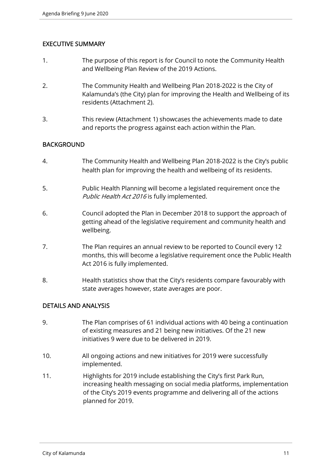# EXECUTIVE SUMMARY

- 1. The purpose of this report is for Council to note the Community Health and Wellbeing Plan Review of the 2019 Actions.
- 2. The Community Health and Wellbeing Plan 2018-2022 is the City of Kalamunda's (the City) plan for improving the Health and Wellbeing of its residents (Attachment 2).
- 3. This review (Attachment 1) showcases the achievements made to date and reports the progress against each action within the Plan.

# **BACKGROUND**

- 4. The Community Health and Wellbeing Plan 2018-2022 is the City's public health plan for improving the health and wellbeing of its residents.
- 5. Public Health Planning will become a legislated requirement once the Public Health Act 2016 is fully implemented.
- 6. Council adopted the Plan in December 2018 to support the approach of getting ahead of the legislative requirement and community health and wellbeing.
- 7. The Plan requires an annual review to be reported to Council every 12 months, this will become a legislative requirement once the Public Health Act 2016 is fully implemented.
- 8. Health statistics show that the City's residents compare favourably with state averages however, state averages are poor.

# DETAILS AND ANALYSIS

- 9. The Plan comprises of 61 individual actions with 40 being a continuation of existing measures and 21 being new initiatives. Of the 21 new initiatives 9 were due to be delivered in 2019.
- 10. All ongoing actions and new initiatives for 2019 were successfully implemented.
- 11. Highlights for 2019 include establishing the City's first Park Run, increasing health messaging on social media platforms, implementation of the City's 2019 events programme and delivering all of the actions planned for 2019.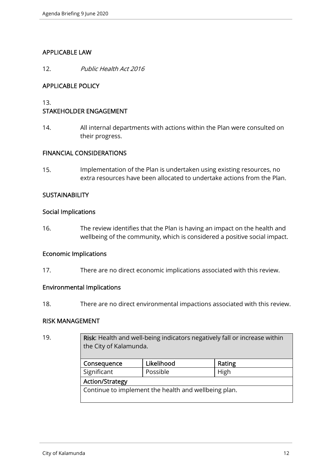# APPLICABLE LAW

12. Public Health Act 2016

# APPLICABLE POLICY

13.

# STAKEHOLDER ENGAGEMENT

14. All internal departments with actions within the Plan were consulted on their progress.

#### FINANCIAL CONSIDERATIONS

15. Implementation of the Plan is undertaken using existing resources, no extra resources have been allocated to undertake actions from the Plan.

#### **SUSTAINABILITY**

#### Social Implications

16. The review identifies that the Plan is having an impact on the health and wellbeing of the community, which is considered a positive social impact.

# Economic Implications

17. There are no direct economic implications associated with this review.

# Environmental Implications

18. There are no direct environmental impactions associated with this review.

#### RISK MANAGEMENT

| 19. | Risk: Health and well-being indicators negatively fall or increase within<br>the City of Kalamunda. |            |        |  |  |
|-----|-----------------------------------------------------------------------------------------------------|------------|--------|--|--|
|     | Consequence                                                                                         | Likelihood | Rating |  |  |
|     | Significant                                                                                         | Possible   | High   |  |  |
|     | <b>Action/Strategy</b>                                                                              |            |        |  |  |
|     | Continue to implement the health and wellbeing plan.                                                |            |        |  |  |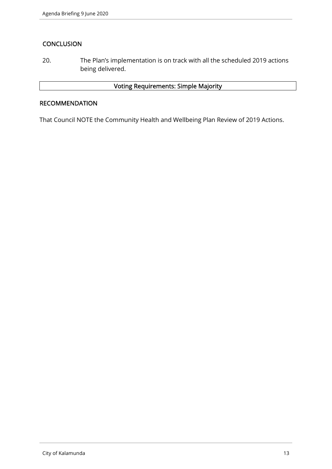# **CONCLUSION**

20. The Plan's implementation is on track with all the scheduled 2019 actions being delivered.

# Voting Requirements: Simple Majority

# RECOMMENDATION

That Council NOTE the Community Health and Wellbeing Plan Review of 2019 Actions.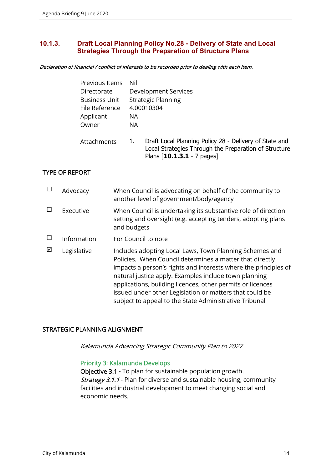# **10.1.3. Draft Local Planning Policy No.28 - Delivery of State and Local Strategies Through the Preparation of Structure Plans**

Declaration of financial / conflict of interests to be recorded prior to dealing with each item.

| Previous Items       | Nil |                                                                                                                                                 |
|----------------------|-----|-------------------------------------------------------------------------------------------------------------------------------------------------|
| Directorate          |     | Development Services                                                                                                                            |
| <b>Business Unit</b> |     | <b>Strategic Planning</b>                                                                                                                       |
| File Reference       |     | 4.00010304                                                                                                                                      |
| Applicant            | NA. |                                                                                                                                                 |
| Owner                | NA. |                                                                                                                                                 |
| Attachments          | 1.  | Draft Local Planning Policy 28 - Delivery of State and<br>Local Strategies Through the Preparation of Structure<br>Plans $[10.1.3.1 - 7$ pages] |

# TYPE OF REPORT

|   | Advocacy    | When Council is advocating on behalf of the community to<br>another level of government/body/agency                                                                                                                                                                                                                                                                                                                                |
|---|-------------|------------------------------------------------------------------------------------------------------------------------------------------------------------------------------------------------------------------------------------------------------------------------------------------------------------------------------------------------------------------------------------------------------------------------------------|
|   | Executive   | When Council is undertaking its substantive role of direction<br>setting and oversight (e.g. accepting tenders, adopting plans<br>and budgets                                                                                                                                                                                                                                                                                      |
|   | Information | For Council to note                                                                                                                                                                                                                                                                                                                                                                                                                |
| ⊠ | Legislative | Includes adopting Local Laws, Town Planning Schemes and<br>Policies. When Council determines a matter that directly<br>impacts a person's rights and interests where the principles of<br>natural justice apply. Examples include town planning<br>applications, building licences, other permits or licences<br>issued under other Legislation or matters that could be<br>subject to appeal to the State Administrative Tribunal |

# STRATEGIC PLANNING ALIGNMENT

Kalamunda Advancing Strategic Community Plan to 2027

#### Priority 3: Kalamunda Develops

Objective 3.1 - To plan for sustainable population growth. **Strategy 3.1.1** - Plan for diverse and sustainable housing, community facilities and industrial development to meet changing social and economic needs.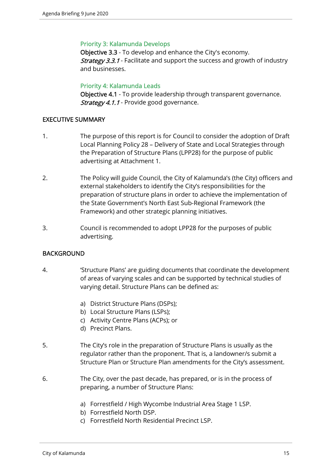# Priority 3: Kalamunda Develops

Objective 3.3 - To develop and enhance the City's economy. **Strategy 3.3.1** - Facilitate and support the success and growth of industry and businesses.

# Priority 4: Kalamunda Leads

Objective 4.1 - To provide leadership through transparent governance. Strategy 4.1.1 - Provide good governance.

# EXECUTIVE SUMMARY

- 1. The purpose of this report is for Council to consider the adoption of Draft Local Planning Policy 28 – Delivery of State and Local Strategies through the Preparation of Structure Plans (LPP28) for the purpose of public advertising at Attachment 1.
- 2. The Policy will guide Council, the City of Kalamunda's (the City) officers and external stakeholders to identify the City's responsibilities for the preparation of structure plans in order to achieve the implementation of the State Government's North East Sub-Regional Framework (the Framework) and other strategic planning initiatives.
- 3. Council is recommended to adopt LPP28 for the purposes of public advertising.

# BACKGROUND

- 4. 'Structure Plans' are guiding documents that coordinate the development of areas of varying scales and can be supported by technical studies of varying detail. Structure Plans can be defined as:
	- a) District Structure Plans (DSPs);
	- b) Local Structure Plans (LSPs);
	- c) Activity Centre Plans (ACPs); or
	- d) Precinct Plans.
- 5. The City's role in the preparation of Structure Plans is usually as the regulator rather than the proponent. That is, a landowner/s submit a Structure Plan or Structure Plan amendments for the City's assessment.
- 6. The City, over the past decade, has prepared, or is in the process of preparing, a number of Structure Plans:
	- a) Forrestfield / High Wycombe Industrial Area Stage 1 LSP.
	- b) Forrestfield North DSP.
	- c) Forrestfield North Residential Precinct LSP.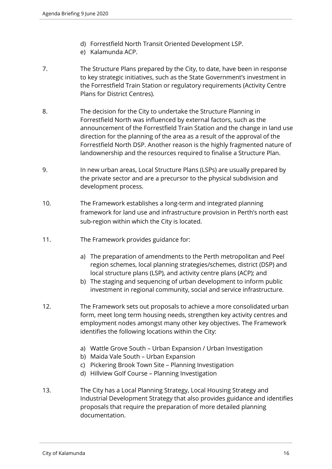- d) Forrestfield North Transit Oriented Development LSP.
- e) Kalamunda ACP.
- 7. The Structure Plans prepared by the City, to date, have been in response to key strategic initiatives, such as the State Government's investment in the Forrestfield Train Station or regulatory requirements (Activity Centre Plans for District Centres).
- 8. The decision for the City to undertake the Structure Planning in Forrestfield North was influenced by external factors, such as the announcement of the Forrestfield Train Station and the change in land use direction for the planning of the area as a result of the approval of the Forrestfield North DSP. Another reason is the highly fragmented nature of landownership and the resources required to finalise a Structure Plan.
- 9. In new urban areas, Local Structure Plans (LSPs) are usually prepared by the private sector and are a precursor to the physical subdivision and development process.
- 10. The Framework establishes a long-term and integrated planning framework for land use and infrastructure provision in Perth's north east sub-region within which the City is located.
- 11. The Framework provides guidance for:
	- a) The preparation of amendments to the Perth metropolitan and Peel region schemes, local planning strategies/schemes, district (DSP) and local structure plans (LSP), and activity centre plans (ACP); and
	- b) The staging and sequencing of urban development to inform public investment in regional community, social and service infrastructure.
- 12. The Framework sets out proposals to achieve a more consolidated urban form, meet long term housing needs, strengthen key activity centres and employment nodes amongst many other key objectives. The Framework identifies the following locations within the City:
	- a) Wattle Grove South Urban Expansion / Urban Investigation
	- b) Maida Vale South Urban Expansion
	- c) Pickering Brook Town Site Planning Investigation
	- d) Hillview Golf Course Planning Investigation
- 13. The City has a Local Planning Strategy, Local Housing Strategy and Industrial Development Strategy that also provides guidance and identifies proposals that require the preparation of more detailed planning documentation.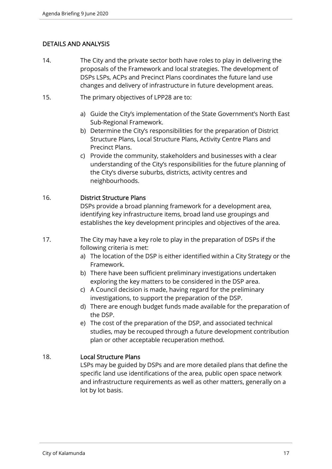# DETAILS AND ANALYSIS

- 14. The City and the private sector both have roles to play in delivering the proposals of the Framework and local strategies. The development of DSPs LSPs, ACPs and Precinct Plans coordinates the future land use changes and delivery of infrastructure in future development areas.
- 15. The primary objectives of LPP28 are to:
	- a) Guide the City's implementation of the State Government's North East Sub-Regional Framework.
	- b) Determine the City's responsibilities for the preparation of District Structure Plans, Local Structure Plans, Activity Centre Plans and Precinct Plans.
	- c) Provide the community, stakeholders and businesses with a clear understanding of the City's responsibilities for the future planning of the City's diverse suburbs, districts, activity centres and neighbourhoods.

# 16. District Structure Plans

DSPs provide a broad planning framework for a development area, identifying key infrastructure items, broad land use groupings and establishes the key development principles and objectives of the area.

- 17. The City may have a key role to play in the preparation of DSPs if the following criteria is met:
	- a) The location of the DSP is either identified within a City Strategy or the Framework.
	- b) There have been sufficient preliminary investigations undertaken exploring the key matters to be considered in the DSP area.
	- c) A Council decision is made, having regard for the preliminary investigations, to support the preparation of the DSP.
	- d) There are enough budget funds made available for the preparation of the DSP.
	- e) The cost of the preparation of the DSP, and associated technical studies, may be recouped through a future development contribution plan or other acceptable recuperation method.

# 18. Local Structure Plans

LSPs may be guided by DSPs and are more detailed plans that define the specific land use identifications of the area, public open space network and infrastructure requirements as well as other matters, generally on a lot by lot basis.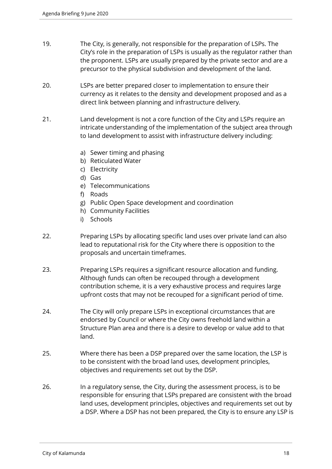- 19. The City, is generally, not responsible for the preparation of LSPs. The City's role in the preparation of LSPs is usually as the regulator rather than the proponent. LSPs are usually prepared by the private sector and are a precursor to the physical subdivision and development of the land.
- 20. LSPs are better prepared closer to implementation to ensure their currency as it relates to the density and development proposed and as a direct link between planning and infrastructure delivery.
- 21. Land development is not a core function of the City and LSPs require an intricate understanding of the implementation of the subject area through to land development to assist with infrastructure delivery including:
	- a) Sewer timing and phasing
	- b) Reticulated Water
	- c) Electricity
	- d) Gas
	- e) Telecommunications
	- f) Roads
	- g) Public Open Space development and coordination
	- h) Community Facilities
	- i) Schools
- 22. Preparing LSPs by allocating specific land uses over private land can also lead to reputational risk for the City where there is opposition to the proposals and uncertain timeframes.
- 23. Preparing LSPs requires a significant resource allocation and funding. Although funds can often be recouped through a development contribution scheme, it is a very exhaustive process and requires large upfront costs that may not be recouped for a significant period of time.
- 24. The City will only prepare LSPs in exceptional circumstances that are endorsed by Council or where the City owns freehold land within a Structure Plan area and there is a desire to develop or value add to that land.
- 25. Where there has been a DSP prepared over the same location, the LSP is to be consistent with the broad land uses, development principles, objectives and requirements set out by the DSP.
- 26. In a regulatory sense, the City, during the assessment process, is to be responsible for ensuring that LSPs prepared are consistent with the broad land uses, development principles, objectives and requirements set out by a DSP. Where a DSP has not been prepared, the City is to ensure any LSP is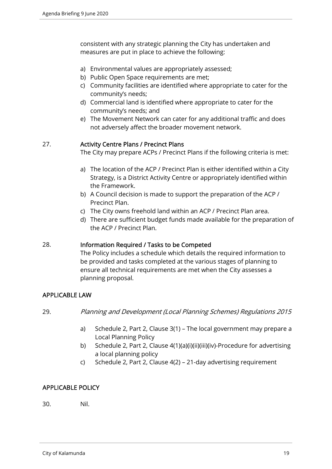consistent with any strategic planning the City has undertaken and measures are put in place to achieve the following:

- a) Environmental values are appropriately assessed;
- b) Public Open Space requirements are met;
- c) Community facilities are identified where appropriate to cater for the community's needs;
- d) Commercial land is identified where appropriate to cater for the community's needs; and
- e) The Movement Network can cater for any additional traffic and does not adversely affect the broader movement network.

# 27. Activity Centre Plans / Precinct Plans

The City may prepare ACPs / Precinct Plans if the following criteria is met:

- a) The location of the ACP / Precinct Plan is either identified within a City Strategy, is a District Activity Centre or appropriately identified within the Framework.
- b) A Council decision is made to support the preparation of the ACP / Precinct Plan.
- c) The City owns freehold land within an ACP / Precinct Plan area.
- d) There are sufficient budget funds made available for the preparation of the ACP / Precinct Plan.

# 28. Information Required / Tasks to be Competed

The Policy includes a schedule which details the required information to be provided and tasks completed at the various stages of planning to ensure all technical requirements are met when the City assesses a planning proposal.

# APPLICABLE LAW

- 29. Planning and Development (Local Planning Schemes) Regulations 2015
	- a) Schedule 2, Part 2, Clause 3(1) The local government may prepare a Local Planning Policy
	- b) Schedule 2, Part 2, Clause 4(1)(a)(i)(ii)(iii)(iv)-Procedure for advertising a local planning policy
	- c) Schedule 2, Part 2, Clause 4(2) 21-day advertising requirement

# APPLICABLE POLICY

30. Nil.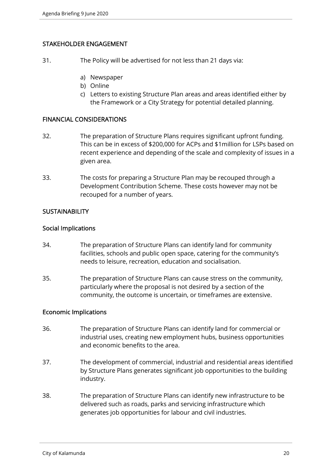# STAKEHOLDER ENGAGEMENT

- 31. The Policy will be advertised for not less than 21 days via:
	- a) Newspaper
	- b) Online
	- c) Letters to existing Structure Plan areas and areas identified either by the Framework or a City Strategy for potential detailed planning.

# FINANCIAL CONSIDERATIONS

- 32. The preparation of Structure Plans requires significant upfront funding. This can be in excess of \$200,000 for ACPs and \$1million for LSPs based on recent experience and depending of the scale and complexity of issues in a given area.
- 33. The costs for preparing a Structure Plan may be recouped through a Development Contribution Scheme. These costs however may not be recouped for a number of years.

# SUSTAINABILITY

#### Social Implications

- 34. The preparation of Structure Plans can identify land for community facilities, schools and public open space, catering for the community's needs to leisure, recreation, education and socialisation.
- 35. The preparation of Structure Plans can cause stress on the community, particularly where the proposal is not desired by a section of the community, the outcome is uncertain, or timeframes are extensive.

# Economic Implications

- 36. The preparation of Structure Plans can identify land for commercial or industrial uses, creating new employment hubs, business opportunities and economic benefits to the area.
- 37. The development of commercial, industrial and residential areas identified by Structure Plans generates significant job opportunities to the building industry.
- 38. The preparation of Structure Plans can identify new infrastructure to be delivered such as roads, parks and servicing infrastructure which generates job opportunities for labour and civil industries.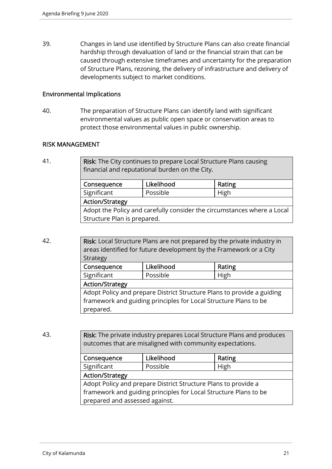39. Changes in land use identified by Structure Plans can also create financial hardship through devaluation of land or the financial strain that can be caused through extensive timeframes and uncertainty for the preparation of Structure Plans, rezoning, the delivery of infrastructure and delivery of developments subject to market conditions.

#### Environmental Implications

40. The preparation of Structure Plans can identify land with significant environmental values as public open space or conservation areas to protect those environmental values in public ownership.

#### RISK MANAGEMENT

41. **Risk:** The City continues to prepare Local Structure Plans causing financial and reputational burden on the City.

| Consequence                                                             | Likelihood | Rating |  |
|-------------------------------------------------------------------------|------------|--------|--|
| Significant                                                             | Possible   | High   |  |
| <b>Action/Strategy</b>                                                  |            |        |  |
| Adopt the Policy and carefully consider the circumstances where a Local |            |        |  |
| Structure Plan is prepared.                                             |            |        |  |

42. **Risk:** Local Structure Plans are not prepared by the private industry in areas identified for future development by the Framework or a City Strategy Consequence | Likelihood | Rating Significant | Possible | High Action/Strategy

Adopt Policy and prepare District Structure Plans to provide a guiding framework and guiding principles for Local Structure Plans to be prepared.

43. **Risk:** The private industry prepares Local Structure Plans and produces outcomes that are misaligned with community expectations.

| Consequence                                                      | Likelihood | Rating |  |  |
|------------------------------------------------------------------|------------|--------|--|--|
| Significant                                                      | Possible   | High   |  |  |
| <b>Action/Strategy</b>                                           |            |        |  |  |
| Adopt Policy and prepare District Structure Plans to provide a   |            |        |  |  |
| framework and guiding principles for Local Structure Plans to be |            |        |  |  |
| prepared and assessed against.                                   |            |        |  |  |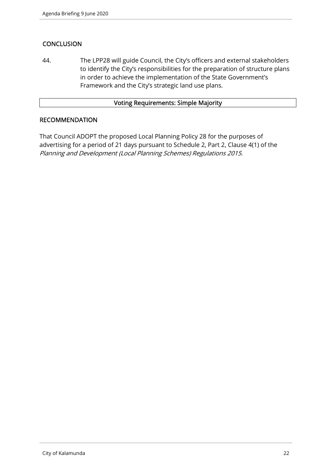# **CONCLUSION**

44. The LPP28 will guide Council, the City's officers and external stakeholders to identify the City's responsibilities for the preparation of structure plans in order to achieve the implementation of the State Government's Framework and the City's strategic land use plans.

# Voting Requirements: Simple Majority

# **RECOMMENDATION**

That Council ADOPT the proposed Local Planning Policy 28 for the purposes of advertising for a period of 21 days pursuant to Schedule 2, Part 2, Clause 4(1) of the Planning and Development (Local Planning Schemes) Regulations 2015.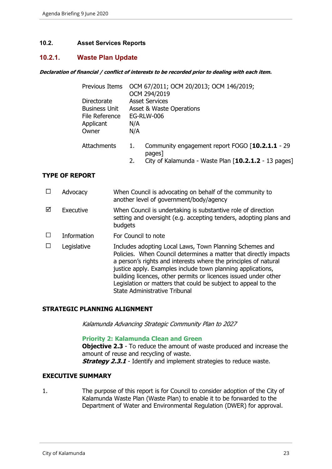# **10.2. Asset Services Reports**

# **10.2.1. Waste Plan Update**

#### **Declaration of financial / conflict of interests to be recorded prior to dealing with each item.**

|                                                                             | Previous Items OCM 67/2011; OCM 20/2013; OCM 146/2019;<br>OCM 294/2019                                                  |
|-----------------------------------------------------------------------------|-------------------------------------------------------------------------------------------------------------------------|
| Directorate<br><b>Business Unit</b><br>File Reference<br>Applicant<br>Owner | <b>Asset Services</b><br>Asset & Waste Operations<br><b>EG-RLW-006</b><br>N/A<br>N/A                                    |
| Attachments                                                                 | Community engagement report FOGO [10.2.1.1 - 29<br>pages]<br>City of Kalamunda - Waste Plan [10.2.1.2 - 13 pages]<br>2. |

#### **TYPE OF REPORT**

|   | Advocacy    | When Council is advocating on behalf of the community to<br>another level of government/body/agency                                                                                                                                                                                                                                                                                                                                       |
|---|-------------|-------------------------------------------------------------------------------------------------------------------------------------------------------------------------------------------------------------------------------------------------------------------------------------------------------------------------------------------------------------------------------------------------------------------------------------------|
| ⊠ | Executive   | When Council is undertaking is substantive role of direction<br>setting and oversight (e.g. accepting tenders, adopting plans and<br>budgets                                                                                                                                                                                                                                                                                              |
|   | Information | For Council to note                                                                                                                                                                                                                                                                                                                                                                                                                       |
|   | Legislative | Includes adopting Local Laws, Town Planning Schemes and<br>Policies. When Council determines a matter that directly impacts<br>a person's rights and interests where the principles of natural<br>justice apply. Examples include town planning applications,<br>building licences, other permits or licences issued under other<br>Legislation or matters that could be subject to appeal to the<br><b>State Administrative Tribunal</b> |

#### **STRATEGIC PLANNING ALIGNMENT**

Kalamunda Advancing Strategic Community Plan to 2027

#### **Priority 2: Kalamunda Clean and Green**

**Objective 2.3** - To reduce the amount of waste produced and increase the amount of reuse and recycling of waste. **Strategy 2.3.1** - Identify and implement strategies to reduce waste.

#### **EXECUTIVE SUMMARY**

1. The purpose of this report is for Council to consider adoption of the City of Kalamunda Waste Plan (Waste Plan) to enable it to be forwarded to the Department of Water and Environmental Regulation (DWER) for approval.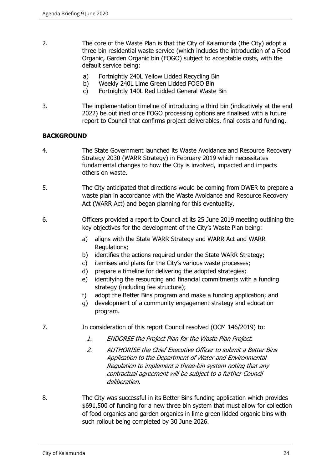- 2. The core of the Waste Plan is that the City of Kalamunda (the City) adopt a three bin residential waste service (which includes the introduction of a Food Organic, Garden Organic bin (FOGO) subject to acceptable costs, with the default service being:
	- a) Fortnightly 240L Yellow Lidded Recycling Bin
	- b) Weekly 240L Lime Green Lidded FOGO Bin
	- c) Fortnightly 140L Red Lidded General Waste Bin
- 3. The implementation timeline of introducing a third bin (indicatively at the end 2022) be outlined once FOGO processing options are finalised with a future report to Council that confirms project deliverables, final costs and funding.

# **BACKGROUND**

- 4. The State Government launched its Waste Avoidance and Resource Recovery Strategy 2030 (WARR Strategy) in February 2019 which necessitates fundamental changes to how the City is involved, impacted and impacts others on waste.
- 5. The City anticipated that directions would be coming from DWER to prepare a waste plan in accordance with the Waste Avoidance and Resource Recovery Act (WARR Act) and began planning for this eventuality.
- 6. Officers provided a report to Council at its 25 June 2019 meeting outlining the key objectives for the development of the City's Waste Plan being:
	- a) aligns with the State WARR Strategy and WARR Act and WARR Regulations;
	- b) identifies the actions required under the State WARR Strategy;
	- c) itemises and plans for the City's various waste processes;
	- d) prepare a timeline for delivering the adopted strategies;
	- e) identifying the resourcing and financial commitments with a funding strategy (including fee structure);
	- f) adopt the Better Bins program and make a funding application; and
	- g) development of a community engagement strategy and education program.
- 7. In consideration of this report Council resolved (OCM 146/2019) to:
	- 1. ENDORSE the Project Plan for the Waste Plan Project.
	- 2. AUTHORISE the Chief Executive Officer to submit a Better Bins Application to the Department of Water and Environmental Regulation to implement a three-bin system noting that any contractual agreement will be subject to a further Council deliberation.
- 8. The City was successful in its Better Bins funding application which provides \$691,500 of funding for a new three bin system that must allow for collection of food organics and garden organics in lime green lidded organic bins with such rollout being completed by 30 June 2026.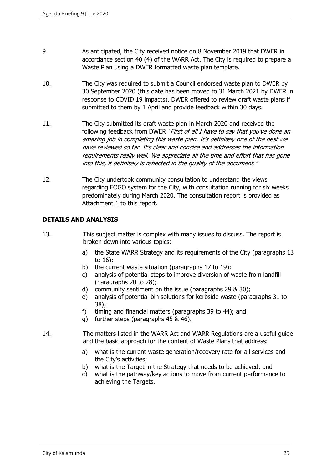- 9. As anticipated, the City received notice on 8 November 2019 that DWER in accordance section 40 (4) of the WARR Act. The City is required to prepare a Waste Plan using a DWER formatted waste plan template.
- 10. The City was required to submit a Council endorsed waste plan to DWER by 30 September 2020 (this date has been moved to 31 March 2021 by DWER in response to COVID 19 impacts). DWER offered to review draft waste plans if submitted to them by 1 April and provide feedback within 30 days.
- 11. The City submitted its draft waste plan in March 2020 and received the following feedback from DWER "First of all I have to say that you've done an amazing job in completing this waste plan. It's definitely one of the best we have reviewed so far. It's clear and concise and addresses the information requirements really well. We appreciate all the time and effort that has gone into this, it definitely is reflected in the quality of the document."
- 12. The City undertook community consultation to understand the views regarding FOGO system for the City, with consultation running for six weeks predominately during March 2020. The consultation report is provided as Attachment 1 to this report.

#### **DETAILS AND ANALYSIS**

- 13. This subject matter is complex with many issues to discuss. The report is broken down into various topics:
	- a) the State WARR Strategy and its requirements of the City (paragraphs 13 to 16);
	- b) the current waste situation (paragraphs 17 to 19);
	- c) analysis of potential steps to improve diversion of waste from landfill (paragraphs 20 to 28);
	- d) community sentiment on the issue (paragraphs 29 & 30);
	- e) analysis of potential bin solutions for kerbside waste (paragraphs 31 to 38);
	- f) timing and financial matters (paragraphs 39 to 44); and
	- g) further steps (paragraphs 45 & 46).
- 14. The matters listed in the WARR Act and WARR Regulations are a useful guide and the basic approach for the content of Waste Plans that address:
	- a) what is the current waste generation/recovery rate for all services and the City's activities;
	- b) what is the Target in the Strategy that needs to be achieved; and
	- c) what is the pathway/key actions to move from current performance to achieving the Targets.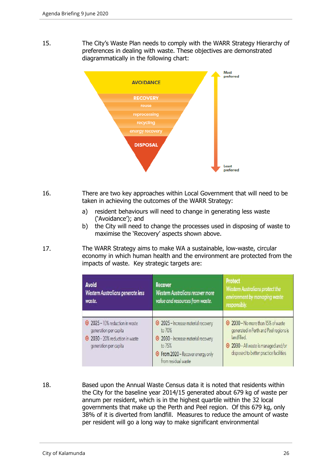15. The City's Waste Plan needs to comply with the WARR Strategy Hierarchy of preferences in dealing with waste. These objectives are demonstrated diagrammatically in the following chart:



- 16. There are two key approaches within Local Government that will need to be taken in achieving the outcomes of the WARR Strategy:
	- a) resident behaviours will need to change in generating less waste ('Avoidance'); and
	- b) the City will need to change the processes used in disposing of waste to maximise the 'Recovery' aspects shown above.
- 17. The WARR Strategy aims to make WA a sustainable, low-waste, circular economy in which human health and the environment are protected from the impacts of waste. Key strategic targets are:

| <b>Avoid</b><br>Western Australians generate less<br>waste.                                                      | <b>Recover</b><br><b>Western Australians recover more</b><br>value and resources from waste.                                                                               | <b>Protect</b><br><b>Western Australians protect the</b><br>environment by managing waste<br>responsibly.                                                                 |
|------------------------------------------------------------------------------------------------------------------|----------------------------------------------------------------------------------------------------------------------------------------------------------------------------|---------------------------------------------------------------------------------------------------------------------------------------------------------------------------|
| 2025 - 10% reduction in waste<br>generation per capita<br>2030 - 20% reduction in waste<br>generation per capita | 2025 - Increase material recovery<br>to 70%<br><sup>o</sup> 2030 - Increase material recovery<br>to 75%<br><b>O</b> From 2020 - Recover energy only<br>from residual waste | 2030 - No more than 15% of waste<br>generated in Perth and Peel regions is<br>landfilled.<br>2030 - All waste is managed and/or<br>disposed to better practice facilities |

18. Based upon the Annual Waste Census data it is noted that residents within the City for the baseline year 2014/15 generated about 679 kg of waste per annum per resident, which is in the highest quartile within the 32 local governments that make up the Perth and Peel region. Of this 679 kg, only 38% of it is diverted from landfill. Measures to reduce the amount of waste per resident will go a long way to make significant environmental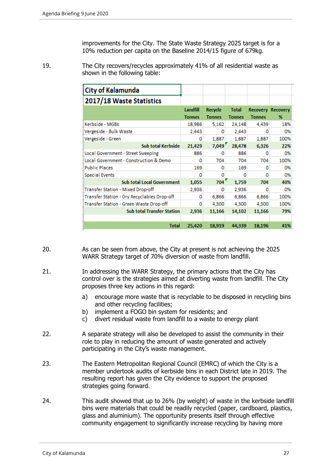improvements for the City. The State Waste Strategy 2025 target is for a 10% reduction per capita on the Baseline 2014/15 figure of 679kg.

19. The City recovers/recycles approximately 41% of all residential waste as shown in the following table:

| City of Kalamunda                           |               |               |               |                          |      |
|---------------------------------------------|---------------|---------------|---------------|--------------------------|------|
| 2017/18 Waste Statistics                    |               |               |               |                          |      |
|                                             | Landfill      | Recycle       | <b>Total</b>  | <b>Recovery Recovery</b> |      |
|                                             | <b>Tonnes</b> | <b>Tonnes</b> | <b>Tonnes</b> | <b>Tonnes</b>            | %    |
| Kerbside - MGBs                             | 18,986        | 5,162         | 24,148        | 4,439                    | 18%  |
| Vergeside - Bulk Waste                      | 2,443         | 0             | 2,443         | o                        | 0%   |
| Vergeside - Green                           | o             | 1,887         | 1,887         | 1,887                    | 100% |
| Sub total Kerbside                          | 21,429        | 7,049'        | 28,478        | 6,326                    | 22%  |
| Local Government - Street Sweeping          | 886           | o             | 886           | o                        | 0%   |
| Local Government - Construction & Demo      | o             | 704           | 704           | 704                      | 100% |
| <b>Public Places</b>                        | 169           | o             | 169           | 0                        | 0%   |
| <b>Special Events</b>                       | o             | Ω             | o             | o                        | 0%   |
| <b>Sub total Local Government</b>           | 1,055         | 704'          | 1,759         | 704                      | 40%  |
| Transfer Station - Mixed Drop-off           | 2,936         | ٥             | 2,936         | o                        | 0%   |
| Transfer Station - Dry Recyclables Drop-off | ٥             | 6,866         | 6,866         | 6,866                    | 100% |
| Transfer Station - Green Waste Drop-off     | o             | 4,300         | 4,300         | 4,300                    | 100% |
| <b>Sub total Transfer Station</b>           | 2,936         | 11,166        | 14,102        | 11,166                   | 79%  |
|                                             |               |               |               |                          |      |
| <b>Total</b>                                | 25,420        | 18,919        | 44,339        | 18,196                   | 41%  |

- 20. As can be seen from above, the City at present is not achieving the 2025 WARR Strategy target of 70% diversion of waste from landfill.
- 21. In addressing the WARR Strategy, the primary actions that the City has control over is the strategies aimed at diverting waste from landfill. The City proposes three key actions in this regard:
	- a) encourage more waste that is recyclable to be disposed in recycling bins and other recycling facilities;
	- b) implement a FOGO bin system for residents; and
	- c) divert residual waste from landfill to a waste to energy plant
- 22. A separate strategy will also be developed to assist the community in their role to play in reducing the amount of waste generated and actively participating in the City's waste management.
- 23. The Eastern Metropolitan Regional Council (EMRC) of which the City is a member undertook audits of kerbside bins in each District late in 2019. The resulting report has given the City evidence to support the proposed strategies going forward.
- 24. This audit showed that up to 26% (by weight) of waste in the kerbside landfill bins were materials that could be readily recycled (paper, cardboard, plastics, glass and aluminium). The opportunity presents itself through effective community engagement to significantly increase recycling by having more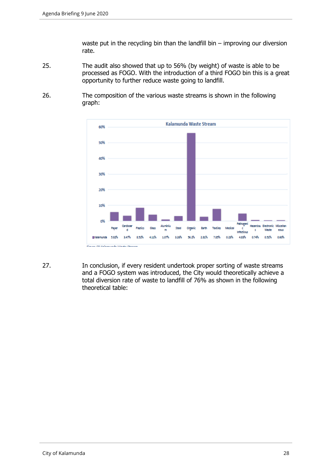waste put in the recycling bin than the landfill bin – improving our diversion rate.

- 25. The audit also showed that up to 56% (by weight) of waste is able to be processed as FOGO. With the introduction of a third FOGO bin this is a great opportunity to further reduce waste going to landfill.
- 26. The composition of the various waste streams is shown in the following graph:



27. In conclusion, if every resident undertook proper sorting of waste streams and a FOGO system was introduced, the City would theoretically achieve a total diversion rate of waste to landfill of 76% as shown in the following theoretical table: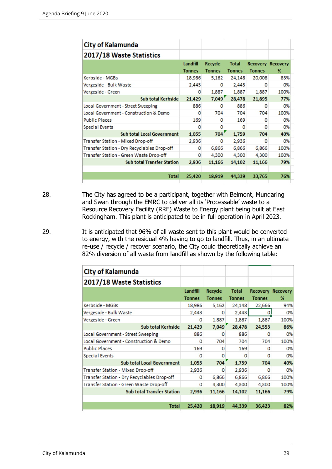| <b>City of Kalamunda</b>                    |                           |                          |                               |               |                               |
|---------------------------------------------|---------------------------|--------------------------|-------------------------------|---------------|-------------------------------|
| 2017/18 Waste Statistics                    |                           |                          |                               |               |                               |
|                                             | Landfill<br><b>Tonnes</b> | Recycle<br><b>Tonnes</b> | <b>Total</b><br><b>Tonnes</b> | <b>Tonnes</b> | <b>Recovery Recovery</b><br>% |
| Kerbside - MGBs                             | 18,986                    | 5,162                    | 24,148                        | 20,008        | 83%                           |
| Vergeside - Bulk Waste                      | 2,443                     | ٥                        | 2,443                         | Ω             | 0%                            |
| Vergeside - Green                           | 0                         | 1,887                    | 1,887                         | 1,887         | 100%                          |
| Sub total Kerbside                          | 21,429                    | 7,049'                   | 28,478                        | 21,895        | 77%                           |
| Local Government - Street Sweeping          | 886                       | ٥                        | 886                           | o             | 0%                            |
| Local Government - Construction & Demo      | o                         | 704                      | 704                           | 704           | 100%                          |
| <b>Public Places</b>                        | 169                       | o                        | 169                           | o             | 0%                            |
| <b>Special Events</b>                       | o                         | o                        | o                             | o             | 0%                            |
| <b>Sub total Local Government</b>           | 1,055                     | 704'                     | 1,759                         | 704           | 40%                           |
| Transfer Station - Mixed Drop-off           | 2,936                     | o                        | 2,936                         | o             | 0%                            |
| Transfer Station - Dry Recyclables Drop-off | o                         | 6,866                    | 6,866                         | 6,866         | 100%                          |
| Transfer Station - Green Waste Drop-off     | o                         | 4,300                    | 4,300                         | 4,300         | 100%                          |
| <b>Sub total Transfer Station</b>           | 2,936                     | 11,166                   | 14,102                        | 11,166        | 79%                           |
| <b>Total</b>                                | 25,420                    | 18,919                   | 44,339                        | 33,765        | 76%                           |

- 28. The City has agreed to be a participant, together with Belmont, Mundaring and Swan through the EMRC to deliver all its 'Processable' waste to a Resource Recovery Facility (RRF) Waste to Energy plant being built at East Rockingham. This plant is anticipated to be in full operation in April 2023.
- 29. It is anticipated that 96% of all waste sent to this plant would be converted to energy, with the residual 4% having to go to landfill. Thus, in an ultimate re-use / recycle / recover scenario, the City could theoretically achieve an 82% diversion of all waste from landfill as shown by the following table:

| <b>City of Kalamunda</b>                    |               |               |               |               |                          |
|---------------------------------------------|---------------|---------------|---------------|---------------|--------------------------|
| 2017/18 Waste Statistics                    |               |               |               |               |                          |
|                                             | Landfill      | Recycle       | <b>Total</b>  |               | <b>Recovery Recovery</b> |
|                                             | <b>Tonnes</b> | <b>Tonnes</b> | <b>Tonnes</b> | <b>Tonnes</b> | %                        |
| Kerbside - MGBs                             | 18,986        | 5,162         | 24,148        | 22,666        | 94%                      |
| Vergeside - Bulk Waste                      | 2,443         | o             | 2,443         | o             | 0%                       |
| Vergeside - Green                           | ٥             | 1,887         | 1,887         | 1.887         | 100%                     |
| Sub total Kerbside                          | 21,429        | 7,049'        | 28,478        | 24,553        | 86%                      |
| Local Government - Street Sweeping          | 886           | 0             | 886           | 0             | 0%                       |
| Local Government - Construction & Demo      | o             | 704           | 704           | 704           | 100%                     |
| <b>Public Places</b>                        | 169           | o             | 169           | o             | 0%                       |
| <b>Special Events</b>                       | o             | 0             | o             | o             | 0%                       |
| <b>Sub total Local Government</b>           | 1,055         | 704           | 1,759         | 704           | 40%                      |
| Transfer Station - Mixed Drop-off           | 2,936         | o             | 2,936         | o             | 0%                       |
| Transfer Station - Dry Recyclables Drop-off | ٥             | 6,866         | 6,866         | 6,866         | 100%                     |
| Transfer Station - Green Waste Drop-off     | 0             | 4.300         | 4,300         | 4.300         | 100%                     |
| <b>Sub total Transfer Station</b>           | 2,936         | 11,166        | 14,102        | 11,166        | 79%                      |
|                                             |               |               |               |               |                          |
| <b>Total</b>                                | 25,420        | 18,919        | 44,339        | 36,423        | 82%                      |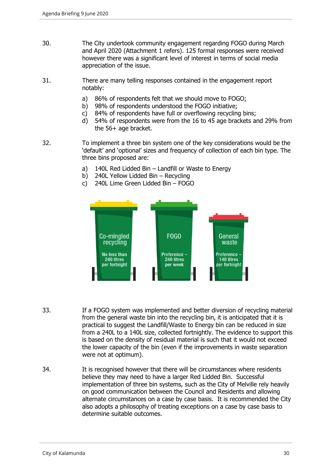- 30. The City undertook community engagement regarding FOGO during March and April 2020 (Attachment 1 refers). 125 formal responses were received however there was a significant level of interest in terms of social media appreciation of the issue.
- 31. There are many telling responses contained in the engagement report notably:
	- a) 86% of respondents felt that we should move to FOGO;
	- b) 98% of respondents understood the FOGO initiative;
	- c) 84% of respondents have full or overflowing recycling bins;
	- d) 54% of respondents were from the 16 to 45 age brackets and 29% from the 56+ age bracket.
- 32. To implement a three bin system one of the key considerations would be the 'default' and 'optional' sizes and frequency of collection of each bin type. The three bins proposed are:
	- a) 140L Red Lidded Bin Landfill or Waste to Energy
	- b) 240L Yellow Lidded Bin Recycling
	- c) 240L Lime Green Lidded Bin FOGO



- 33. If a FOGO system was implemented and better diversion of recycling material from the general waste bin into the recycling bin, it is anticipated that it is practical to suggest the Landfill/Waste to Energy bin can be reduced in size from a 240L to a 140L size, collected fortnightly. The evidence to support this is based on the density of residual material is such that it would not exceed the lower capacity of the bin (even if the improvements in waste separation were not at optimum).
- 34. It is recognised however that there will be circumstances where residents believe they may need to have a larger Red Lidded Bin. Successful implementation of three bin systems, such as the City of Melville rely heavily on good communication between the Council and Residents and allowing alternate circumstances on a case by case basis. It is recommended the City also adopts a philosophy of treating exceptions on a case by case basis to determine suitable outcomes.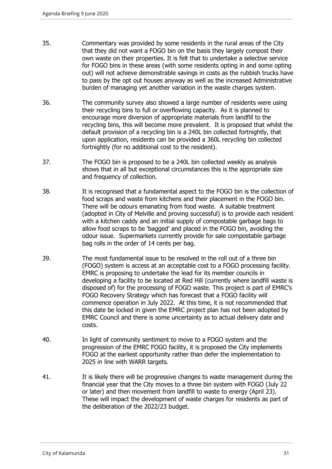- 35. Commentary was provided by some residents in the rural areas of the City that they did not want a FOGO bin on the basis they largely compost their own waste on their properties. It is felt that to undertake a selective service for FOGO bins in these areas (with some residents opting in and some opting out) will not achieve demonstrable savings in costs as the rubbish trucks have to pass by the opt out houses anyway as well as the increased Administrative burden of managing yet another variation in the waste charges system.
- 36. The community survey also showed a large number of residents were using their recycling bins to full or overflowing capacity. As it is planned to encourage more diversion of appropriate materials from landfill to the recycling bins, this will become more prevalent. It is proposed that whilst the default provision of a recycling bin is a 240L bin collected fortnightly, that upon application, residents can be provided a 360L recycling bin collected fortnightly (for no additional cost to the resident).
- 37. The FOGO bin is proposed to be a 240L bin collected weekly as analysis shows that in all but exceptional circumstances this is the appropriate size and frequency of collection.
- 38. It is recognised that a fundamental aspect to the FOGO bin is the collection of food scraps and waste from kitchens and their placement in the FOGO bin. There will be odours emanating from food waste. A suitable treatment (adopted in City of Melville and proving successful) is to provide each resident with a kitchen caddy and an initial supply of compostable garbage bags to allow food scraps to be 'bagged' and placed in the FOGO bin, avoiding the odour issue. Supermarkets currently provide for sale compostable garbage bag rolls in the order of 14 cents per bag.
- 39. The most fundamental issue to be resolved in the roll out of a three bin (FOGO) system is access at an acceptable cost to a FOGO processing facility. EMRC is proposing to undertake the lead for its member councils in developing a facility to be located at Red Hill (currently where landfill waste is disposed of) for the processing of FOGO waste. This project is part of EMRC's FOGO Recovery Strategy which has forecast that a FOGO facility will commence operation in July 2022. At this time, it is not recommended that this date be locked in given the EMRC project plan has not been adopted by EMRC Council and there is some uncertainty as to actual delivery date and costs.
- 40. In light of community sentiment to move to a FOGO system and the progression of the EMRC FOGO facility, it is proposed the City implements FOGO at the earliest opportunity rather than defer the implementation to 2025 in line with WARR targets.
- 41. It is likely there will be progressive changes to waste management during the financial year that the City moves to a three bin system with FOGO (July 22 or later) and then movement from landfill to waste to energy (April 23). These will impact the development of waste charges for residents as part of the deliberation of the 2022/23 budget.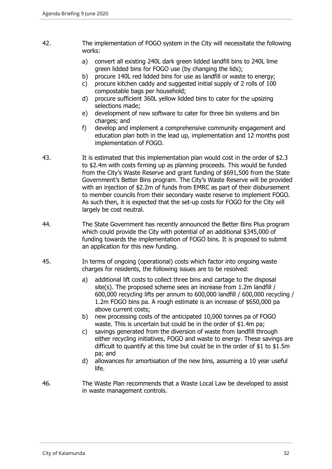- 42. The implementation of FOGO system in the City will necessitate the following works:
	- a) convert all existing 240L dark green lidded landfill bins to 240L lime green lidded bins for FOGO use (by changing the lids);
	- b) procure 140L red lidded bins for use as landfill or waste to energy;
	- c) procure kitchen caddy and suggested initial supply of 2 rolls of 100 compostable bags per household;
	- d) procure sufficient 360L yellow lidded bins to cater for the upsizing selections made;
	- e) development of new software to cater for three bin systems and bin charges; and
	- f) develop and implement a comprehensive community engagement and education plan both in the lead up, implementation and 12 months post implementation of FOGO.
- 43. It is estimated that this implementation plan would cost in the order of \$2.3 to \$2.4m with costs firming up as planning proceeds. This would be funded from the City's Waste Reserve and grant funding of \$691,500 from the State Government's Better Bins program. The City's Waste Reserve will be provided with an injection of \$2.2m of funds from EMRC as part of their disbursement to member councils from their secondary waste reserve to implement FOGO. As such then, it is expected that the set-up costs for FOGO for the City will largely be cost neutral.
- 44. The State Government has recently announced the Better Bins Plus program which could provide the City with potential of an additional \$345,000 of funding towards the implementation of FOGO bins. It is proposed to submit an application for this new funding.
- 45. In terms of ongoing (operational) costs which factor into ongoing waste charges for residents, the following issues are to be resolved:
	- a) additional lift costs to collect three bins and cartage to the disposal site(s). The proposed scheme sees an increase from 1.2m landfill / 600,000 recycling lifts per annum to 600,000 landfill / 600,000 recycling / 1.2m FOGO bins pa. A rough estimate is an increase of \$650,000 pa above current costs;
	- b) new processing costs of the anticipated 10,000 tonnes pa of FOGO waste. This is uncertain but could be in the order of \$1.4m pa;
	- c) savings generated from the diversion of waste from landfill through either recycling initiatives, FOGO and waste to energy. These savings are difficult to quantify at this time but could be in the order of \$1 to \$1.5m pa; and
	- d) allowances for amortisation of the new bins, assuming a 10 year useful life.
- 46. The Waste Plan recommends that a Waste Local Law be developed to assist in waste management controls.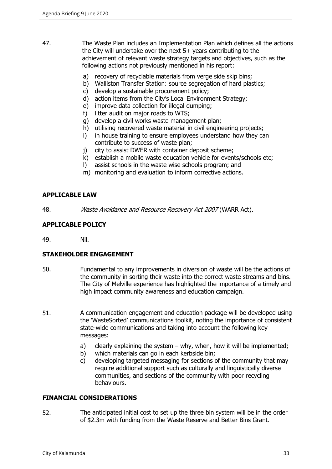- 47. The Waste Plan includes an Implementation Plan which defines all the actions the City will undertake over the next 5+ years contributing to the achievement of relevant waste strategy targets and objectives, such as the following actions not previously mentioned in his report:
	- a) recovery of recyclable materials from verge side skip bins;
	- b) Walliston Transfer Station: source segregation of hard plastics;
	- c) develop a sustainable procurement policy;
	- d) action items from the City's Local Environment Strategy;
	- e) improve data collection for illegal dumping;
	- f) litter audit on major roads to WTS;
	- g) develop a civil works waste management plan;
	- h) utilising recovered waste material in civil engineering projects;
	- i) in house training to ensure employees understand how they can contribute to success of waste plan;
	- j) city to assist DWER with container deposit scheme;
	- k) establish a mobile waste education vehicle for events/schools etc;
	- l) assist schools in the waste wise schools program; and
	- m) monitoring and evaluation to inform corrective actions.

# **APPLICABLE LAW**

48. Waste Avoidance and Resource Recovery Act 2007 (WARR Act).

#### **APPLICABLE POLICY**

49. Nil.

# **STAKEHOLDER ENGAGEMENT**

- 50. Fundamental to any improvements in diversion of waste will be the actions of the community in sorting their waste into the correct waste streams and bins. The City of Melville experience has highlighted the importance of a timely and high impact community awareness and education campaign.
- 51. A communication engagement and education package will be developed using the 'WasteSorted' communications toolkit, noting the importance of consistent state-wide communications and taking into account the following key messages:
	- a) clearly explaining the system why, when, how it will be implemented;
	- b) which materials can go in each kerbside bin;
	- c) developing targeted messaging for sections of the community that may require additional support such as culturally and linguistically diverse communities, and sections of the community with poor recycling behaviours.

#### **FINANCIAL CONSIDERATIONS**

52. The anticipated initial cost to set up the three bin system will be in the order of \$2.3m with funding from the Waste Reserve and Better Bins Grant.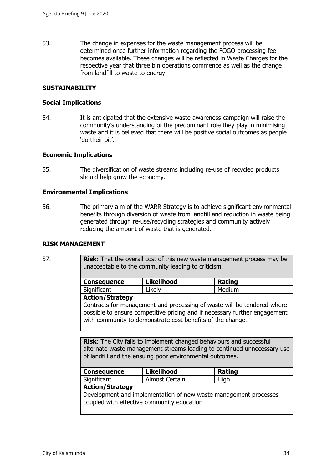53. The change in expenses for the waste management process will be determined once further information regarding the FOGO processing fee becomes available. These changes will be reflected in Waste Charges for the respective year that three bin operations commence as well as the change from landfill to waste to energy.

#### **SUSTAINABILITY**

#### **Social Implications**

54. It is anticipated that the extensive waste awareness campaign will raise the community's understanding of the predominant role they play in minimising waste and it is believed that there will be positive social outcomes as people 'do their bit'.

#### **Economic Implications**

55. The diversification of waste streams including re-use of recycled products should help grow the economy.

#### **Environmental Implications**

56. The primary aim of the WARR Strategy is to achieve significant environmental benefits through diversion of waste from landfill and reduction in waste being generated through re-use/recycling strategies and community actively reducing the amount of waste that is generated.

#### **RISK MANAGEMENT**

| -             |  |
|---------------|--|
| ۰.<br>v<br>v. |  |

**Risk**: That the overall cost of this new waste management process may be unacceptable to the community leading to criticism.

| <b>Consequence</b>     | <b>Likelihood</b> | <b>Rating</b> |  |
|------------------------|-------------------|---------------|--|
| Significant            | Likely            | Medium        |  |
| <b>Action/Strategy</b> |                   |               |  |

Contracts for management and processing of waste will be tendered where possible to ensure competitive pricing and if necessary further engagement with community to demonstrate cost benefits of the change.

**Risk**: The City fails to implement changed behaviours and successful alternate waste management streams leading to continued unnecessary use of landfill and the ensuing poor environmental outcomes.

| <b>Consequence</b> | <b>Likelihood</b> | Rating |
|--------------------|-------------------|--------|
| Significant        | Almost Certain    | High   |
|                    |                   |        |

#### **Action/Strategy**

Development and implementation of new waste management processes coupled with effective community education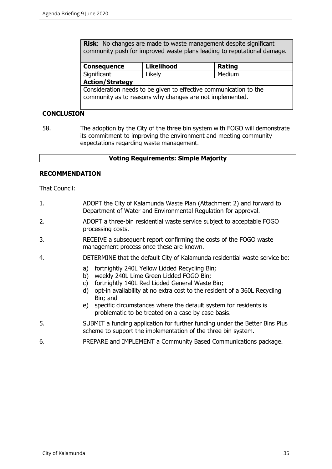**Risk**: No changes are made to waste management despite significant community push for improved waste plans leading to reputational damage.

| Consequence                                                                  | <b>Likelihood</b> | Rating |  |  |
|------------------------------------------------------------------------------|-------------------|--------|--|--|
| Significant                                                                  | Likely            | Medium |  |  |
| <b>Action/Strategy</b>                                                       |                   |        |  |  |
| $\sqrt{2}$ Consideration needs to be given to effective communication to the |                   |        |  |  |

Consideration needs to be given to effective communication to the community as to reasons why changes are not implemented.

# **CONCLUSION**

58. The adoption by the City of the three bin system with FOGO will demonstrate its commitment to improving the environment and meeting community expectations regarding waste management.

# **Voting Requirements: Simple Majority**

#### **RECOMMENDATION**

That Council:

- 1. ADOPT the City of Kalamunda Waste Plan (Attachment 2) and forward to Department of Water and Environmental Regulation for approval.
- 2. ADOPT a three-bin residential waste service subject to acceptable FOGO processing costs.
- 3. RECEIVE a subsequent report confirming the costs of the FOGO waste management process once these are known.
- 4. DETERMINE that the default City of Kalamunda residential waste service be:
	- a) fortnightly 240L Yellow Lidded Recycling Bin;
	- b) weekly 240L Lime Green Lidded FOGO Bin;
	- c) fortnightly 140L Red Lidded General Waste Bin;
	- d) opt-in availability at no extra cost to the resident of a 360L Recycling Bin; and
	- e) specific circumstances where the default system for residents is problematic to be treated on a case by case basis.
- 5. SUBMIT a funding application for further funding under the Better Bins Plus scheme to support the implementation of the three bin system.
- 6. PREPARE and IMPLEMENT a Community Based Communications package.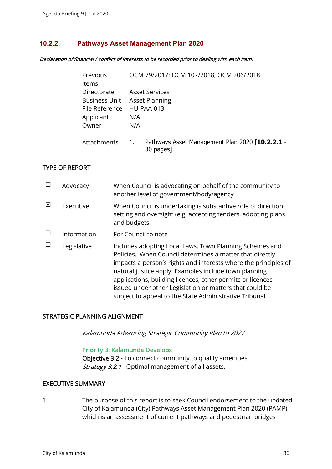# **10.2.2. Pathways Asset Management Plan 2020**

#### Declaration of financial / conflict of interests to be recorded prior to dealing with each item.

| Previous           | OCM 79/2017; OCM 107/2018; OCM 206/2018                            |
|--------------------|--------------------------------------------------------------------|
| <b>Items</b>       |                                                                    |
| Directorate        | <b>Asset Services</b>                                              |
| Business Unit      | <b>Asset Planning</b>                                              |
| File Reference     | HU-PAA-013                                                         |
| Applicant          | N/A                                                                |
| Owner              | N/A                                                                |
| <b>Attachments</b> | Pathways Asset Management Plan 2020 [10.2.2.1 -<br>1.<br>30 pages] |

# TYPE OF REPORT

|   | Advocacy    | When Council is advocating on behalf of the community to<br>another level of government/body/agency                                                                                                                                                                                                                                                                                                                                |
|---|-------------|------------------------------------------------------------------------------------------------------------------------------------------------------------------------------------------------------------------------------------------------------------------------------------------------------------------------------------------------------------------------------------------------------------------------------------|
| ⊠ | Executive   | When Council is undertaking is substantive role of direction<br>setting and oversight (e.g. accepting tenders, adopting plans<br>and budgets                                                                                                                                                                                                                                                                                       |
|   | Information | For Council to note                                                                                                                                                                                                                                                                                                                                                                                                                |
|   | Legislative | Includes adopting Local Laws, Town Planning Schemes and<br>Policies. When Council determines a matter that directly<br>impacts a person's rights and interests where the principles of<br>natural justice apply. Examples include town planning<br>applications, building licences, other permits or licences<br>issued under other Legislation or matters that could be<br>subject to appeal to the State Administrative Tribunal |

#### STRATEGIC PLANNING ALIGNMENT

Kalamunda Advancing Strategic Community Plan to 2027

#### Priority 3: Kalamunda Develops

Objective 3.2 - To connect community to quality amenities. Strategy 3.2.1 - Optimal management of all assets.

# EXECUTIVE SUMMARY

1. The purpose of this report is to seek Council endorsement to the updated City of Kalamunda (City) Pathways Asset Management Plan 2020 (PAMP), which is an assessment of current pathways and pedestrian bridges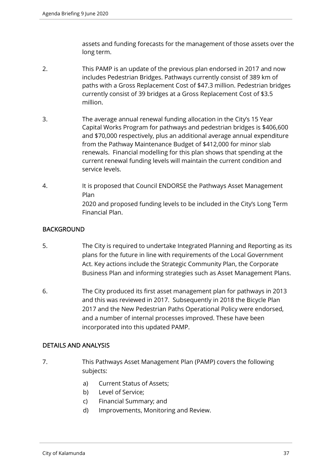assets and funding forecasts for the management of those assets over the long term.

- 2. This PAMP is an update of the previous plan endorsed in 2017 and now includes Pedestrian Bridges. Pathways currently consist of 389 km of paths with a Gross Replacement Cost of \$47.3 million. Pedestrian bridges currently consist of 39 bridges at a Gross Replacement Cost of \$3.5 million.
- 3. The average annual renewal funding allocation in the City's 15 Year Capital Works Program for pathways and pedestrian bridges is \$406,600 and \$70,000 respectively, plus an additional average annual expenditure from the Pathway Maintenance Budget of \$412,000 for minor slab renewals. Financial modelling for this plan shows that spending at the current renewal funding levels will maintain the current condition and service levels.
- 4. It is proposed that Council ENDORSE the Pathways Asset Management Plan 2020 and proposed funding levels to be included in the City's Long Term Financial Plan.

# **BACKGROUND**

- 5. The City is required to undertake Integrated Planning and Reporting as its plans for the future in line with requirements of the Local Government Act. Key actions include the Strategic Community Plan, the Corporate Business Plan and informing strategies such as Asset Management Plans.
- 6. The City produced its first asset management plan for pathways in 2013 and this was reviewed in 2017. Subsequently in 2018 the Bicycle Plan 2017 and the New Pedestrian Paths Operational Policy were endorsed, and a number of internal processes improved. These have been incorporated into this updated PAMP.

# DETAILS AND ANALYSIS

- 7. This Pathways Asset Management Plan (PAMP) covers the following subjects:
	- a) Current Status of Assets;
	- b) Level of Service;
	- c) Financial Summary; and
	- d) Improvements, Monitoring and Review.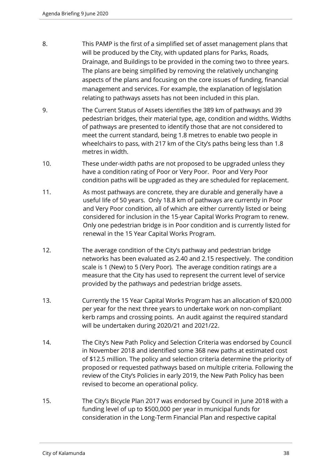- 8. This PAMP is the first of a simplified set of asset management plans that will be produced by the City, with updated plans for Parks, Roads, Drainage, and Buildings to be provided in the coming two to three years. The plans are being simplified by removing the relatively unchanging aspects of the plans and focusing on the core issues of funding, financial management and services. For example, the explanation of legislation relating to pathways assets has not been included in this plan.
- 9. The Current Status of Assets identifies the 389 km of pathways and 39 pedestrian bridges, their material type, age, condition and widths. Widths of pathways are presented to identify those that are not considered to meet the current standard, being 1.8 metres to enable two people in wheelchairs to pass, with 217 km of the City's paths being less than 1.8 metres in width.
- 10. These under-width paths are not proposed to be upgraded unless they have a condition rating of Poor or Very Poor. Poor and Very Poor condition paths will be upgraded as they are scheduled for replacement.
- 11. As most pathways are concrete, they are durable and generally have a useful life of 50 years. Only 18.8 km of pathways are currently in Poor and Very Poor condition, all of which are either currently listed or being considered for inclusion in the 15-year Capital Works Program to renew. Only one pedestrian bridge is in Poor condition and is currently listed for renewal in the 15 Year Capital Works Program.
- 12. The average condition of the City's pathway and pedestrian bridge networks has been evaluated as 2.40 and 2.15 respectively. The condition scale is 1 (New) to 5 (Very Poor). The average condition ratings are a measure that the City has used to represent the current level of service provided by the pathways and pedestrian bridge assets.
- 13. Currently the 15 Year Capital Works Program has an allocation of \$20,000 per year for the next three years to undertake work on non-compliant kerb ramps and crossing points. An audit against the required standard will be undertaken during 2020/21 and 2021/22.
- 14. The City's New Path Policy and Selection Criteria was endorsed by Council in November 2018 and identified some 368 new paths at estimated cost of \$12.5 million. The policy and selection criteria determine the priority of proposed or requested pathways based on multiple criteria. Following the review of the City's Policies in early 2019, the New Path Policy has been revised to become an operational policy.
- 15. The City's Bicycle Plan 2017 was endorsed by Council in June 2018 with a funding level of up to \$500,000 per year in municipal funds for consideration in the Long-Term Financial Plan and respective capital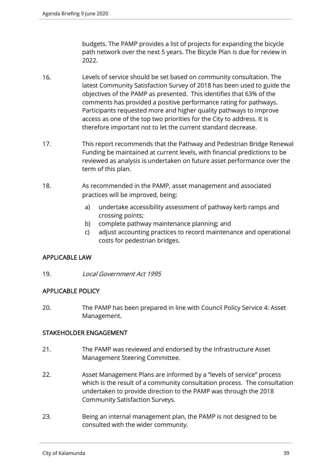budgets. The PAMP provides a list of projects for expanding the bicycle path network over the next 5 years. The Bicycle Plan is due for review in 2022.

- 16. Levels of service should be set based on community consultation. The latest Community Satisfaction Survey of 2018 has been used to guide the objectives of the PAMP as presented. This identifies that 63% of the comments has provided a positive performance rating for pathways. Participants requested more and higher quality pathways to improve access as one of the top two priorities for the City to address. It is therefore important not to let the current standard decrease.
- 17. This report recommends that the Pathway and Pedestrian Bridge Renewal Funding be maintained at current levels, with financial predictions to be reviewed as analysis is undertaken on future asset performance over the term of this plan.
- 18. As recommended in the PAMP, asset management and associated practices will be improved, being:
	- a) undertake accessibility assessment of pathway kerb ramps and crossing points;
	- b) complete pathway maintenance planning; and
	- c) adjust accounting practices to record maintenance and operational costs for pedestrian bridges.

# APPLICABLE LAW

19. Local Government Act 1995

# APPLICABLE POLICY

20. The PAMP has been prepared in line with Council Policy Service 4: Asset Management.

# STAKEHOLDER ENGAGEMENT

- 21. The PAMP was reviewed and endorsed by the Infrastructure Asset Management Steering Committee.
- 22. Asset Management Plans are informed by a "levels of service" process which is the result of a community consultation process. The consultation undertaken to provide direction to the PAMP was through the 2018 Community Satisfaction Surveys.
- 23. Being an internal management plan, the PAMP is not designed to be consulted with the wider community.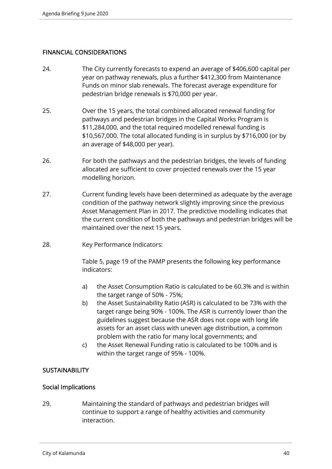# FINANCIAL CONSIDERATIONS

- 24. The City currently forecasts to expend an average of \$406,600 capital per year on pathway renewals, plus a further \$412,300 from Maintenance Funds on minor slab renewals. The forecast average expenditure for pedestrian bridge renewals is \$70,000 per year.
- 25. Over the 15 years, the total combined allocated renewal funding for pathways and pedestrian bridges in the Capital Works Program is \$11,284,000, and the total required modelled renewal funding is \$10,567,000. The total allocated funding is in surplus by \$716,000 (or by an average of \$48,000 per year).
- 26. For both the pathways and the pedestrian bridges, the levels of funding allocated are sufficient to cover projected renewals over the 15 year modelling horizon.
- 27. Current funding levels have been determined as adequate by the average condition of the pathway network slightly improving since the previous Asset Management Plan in 2017. The predictive modelling indicates that the current condition of both the pathways and pedestrian bridges will be maintained over the next 15 years.
- 28. Key Performance Indicators:

Table 5, page 19 of the PAMP presents the following key performance indicators:

- a) the Asset Consumption Ratio is calculated to be 60.3% and is within the target range of 50% - 75%;
- b) the Asset Sustainability Ratio (ASR) is calculated to be 73% with the target range being 90% - 100%. The ASR is currently lower than the guidelines suggest because the ASR does not cope with long life assets for an asset class with uneven age distribution, a common problem with the ratio for many local governments; and
- c) the Asset Renewal Funding ratio is calculated to be 100% and is within the target range of 95% - 100%.

## **SUSTAINABILITY**

## Social Implications

29. Maintaining the standard of pathways and pedestrian bridges will continue to support a range of healthy activities and community interaction.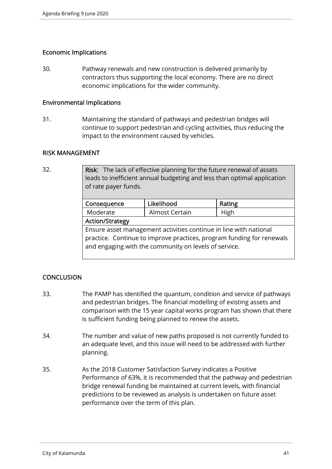## Economic Implications

30. Pathway renewals and new construction is delivered primarily by contractors thus supporting the local economy. There are no direct economic implications for the wider community.

### Environmental Implications

31. Maintaining the standard of pathways and pedestrian bridges will continue to support pedestrian and cycling activities, thus reducing the impact to the environment caused by vehicles.

## RISK MANAGEMENT

| 32. | Risk: The lack of effective planning for the future renewal of assets<br>leads to inefficient annual budgeting and less than optimal application<br>of rate payer funds.                            |                |        |  |
|-----|-----------------------------------------------------------------------------------------------------------------------------------------------------------------------------------------------------|----------------|--------|--|
|     | Consequence                                                                                                                                                                                         | Likelihood     | Rating |  |
|     | Moderate                                                                                                                                                                                            | Almost Certain | High   |  |
|     | <b>Action/Strategy</b>                                                                                                                                                                              |                |        |  |
|     | Ensure asset management activities continue in line with national<br>practice. Continue to improve practices, program funding for renewals<br>and engaging with the community on levels of service. |                |        |  |

# **CONCLUSION**

- 33. The PAMP has identified the quantum, condition and service of pathways and pedestrian bridges. The financial modelling of existing assets and comparison with the 15 year capital works program has shown that there is sufficient funding being planned to renew the assets.
- 34. The number and value of new paths proposed is not currently funded to an adequate level, and this issue will need to be addressed with further planning.
- 35. As the 2018 Customer Satisfaction Survey indicates a Positive Performance of 63%, it is recommended that the pathway and pedestrian bridge renewal funding be maintained at current levels, with financial predictions to be reviewed as analysis is undertaken on future asset performance over the term of this plan.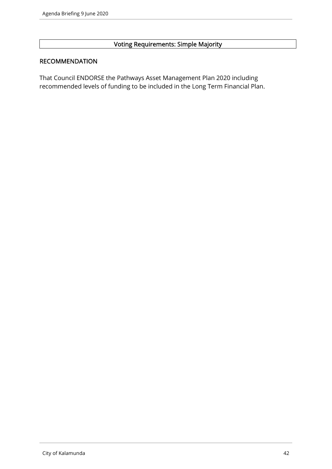# Voting Requirements: Simple Majority

#### RECOMMENDATION

That Council ENDORSE the Pathways Asset Management Plan 2020 including recommended levels of funding to be included in the Long Term Financial Plan.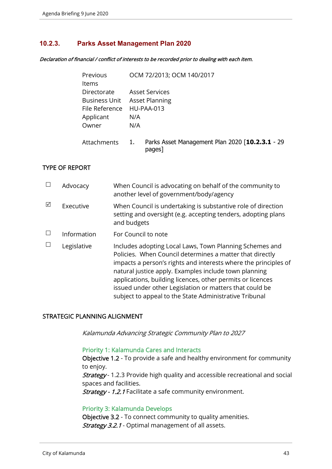## **10.2.3. Parks Asset Management Plan 2020**

Declaration of financial / conflict of interests to be recorded prior to dealing with each item.

| Previous             |                       | OCM 72/2013; OCM 140/2017                                 |
|----------------------|-----------------------|-----------------------------------------------------------|
| ltems                |                       |                                                           |
| Directorate          | <b>Asset Services</b> |                                                           |
| <b>Business Unit</b> | <b>Asset Planning</b> |                                                           |
| File Reference       | HU-PAA-013            |                                                           |
| Applicant            | N/A                   |                                                           |
| Owner                | N/A                   |                                                           |
| Attachments          | 1.                    | Parks Asset Management Plan 2020 [10.2.3.1 - 29<br>pages] |

## TYPE OF REPORT

|   | Advocacy    | When Council is advocating on behalf of the community to<br>another level of government/body/agency                                                                                                                                                                                                                                                                                                                                |
|---|-------------|------------------------------------------------------------------------------------------------------------------------------------------------------------------------------------------------------------------------------------------------------------------------------------------------------------------------------------------------------------------------------------------------------------------------------------|
| ⊠ | Executive   | When Council is undertaking is substantive role of direction<br>setting and oversight (e.g. accepting tenders, adopting plans<br>and budgets                                                                                                                                                                                                                                                                                       |
|   | Information | For Council to note                                                                                                                                                                                                                                                                                                                                                                                                                |
|   | Legislative | Includes adopting Local Laws, Town Planning Schemes and<br>Policies. When Council determines a matter that directly<br>impacts a person's rights and interests where the principles of<br>natural justice apply. Examples include town planning<br>applications, building licences, other permits or licences<br>issued under other Legislation or matters that could be<br>subject to appeal to the State Administrative Tribunal |

## STRATEGIC PLANNING ALIGNMENT

Kalamunda Advancing Strategic Community Plan to 2027

#### Priority 1: Kalamunda Cares and Interacts

Objective 1.2 - To provide a safe and healthy environment for community to enjoy.

Strategy- 1.2.3 Provide high quality and accessible recreational and social spaces and facilities.

Strategy - 1.2.1 Facilitate a safe community environment.

#### Priority 3: Kalamunda Develops

Objective 3.2 - To connect community to quality amenities. Strategy 3.2.1 - Optimal management of all assets.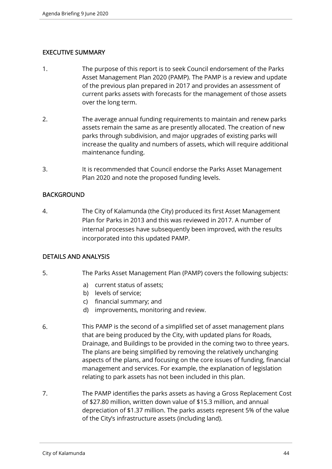# EXECUTIVE SUMMARY

- 1. The purpose of this report is to seek Council endorsement of the Parks Asset Management Plan 2020 (PAMP). The PAMP is a review and update of the previous plan prepared in 2017 and provides an assessment of current parks assets with forecasts for the management of those assets over the long term.
- 2. The average annual funding requirements to maintain and renew parks assets remain the same as are presently allocated. The creation of new parks through subdivision, and major upgrades of existing parks will increase the quality and numbers of assets, which will require additional maintenance funding.
- 3. It is recommended that Council endorse the Parks Asset Management Plan 2020 and note the proposed funding levels.

# BACKGROUND

4. The City of Kalamunda (the City) produced its first Asset Management Plan for Parks in 2013 and this was reviewed in 2017. A number of internal processes have subsequently been improved, with the results incorporated into this updated PAMP.

## DETAILS AND ANALYSIS

- 5. The Parks Asset Management Plan (PAMP) covers the following subjects:
	- a) current status of assets;
	- b) levels of service;
	- c) financial summary; and
	- d) improvements, monitoring and review.
- 6. This PAMP is the second of a simplified set of asset management plans that are being produced by the City, with updated plans for Roads, Drainage, and Buildings to be provided in the coming two to three years. The plans are being simplified by removing the relatively unchanging aspects of the plans, and focusing on the core issues of funding, financial management and services. For example, the explanation of legislation relating to park assets has not been included in this plan.
- 7. The PAMP identifies the parks assets as having a Gross Replacement Cost of \$27.80 million, written down value of \$15.3 million, and annual depreciation of \$1.37 million. The parks assets represent 5% of the value of the City's infrastructure assets (including land).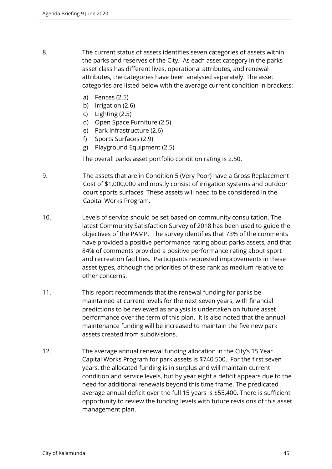- 8. The current status of assets identifies seven categories of assets within the parks and reserves of the City. As each asset category in the parks asset class has different lives, operational attributes, and renewal attributes, the categories have been analysed separately. The asset categories are listed below with the average current condition in brackets:
	- a) Fences (2.5)
	- b) Irrigation (2.6)
	- c) Lighting (2.5)
	- d) Open Space Furniture (2.5)
	- e) Park Infrastructure (2.6)
	- f) Sports Surfaces (2.9)
	- g) Playground Equipment (2.5)

The overall parks asset portfolio condition rating is 2.50.

- 9. The assets that are in Condition 5 (Very Poor) have a Gross Replacement Cost of \$1,000,000 and mostly consist of irrigation systems and outdoor court sports surfaces. These assets will need to be considered in the Capital Works Program.
- 10. Levels of service should be set based on community consultation. The latest Community Satisfaction Survey of 2018 has been used to guide the objectives of the PAMP. The survey identifies that 73% of the comments have provided a positive performance rating about parks assets, and that 84% of comments provided a positive performance rating about sport and recreation facilities. Participants requested improvements in these asset types, although the priorities of these rank as medium relative to other concerns.
- 11. This report recommends that the renewal funding for parks be maintained at current levels for the next seven years, with financial predictions to be reviewed as analysis is undertaken on future asset performance over the term of this plan. It is also noted that the annual maintenance funding will be increased to maintain the five new park assets created from subdivisions.
- 12. The average annual renewal funding allocation in the City's 15 Year Capital Works Program for park assets is \$740,500. For the first seven years, the allocated funding is in surplus and will maintain current condition and service levels, but by year eight a deficit appears due to the need for additional renewals beyond this time frame. The predicated average annual deficit over the full 15 years is \$55,400. There is sufficient opportunity to review the funding levels with future revisions of this asset management plan.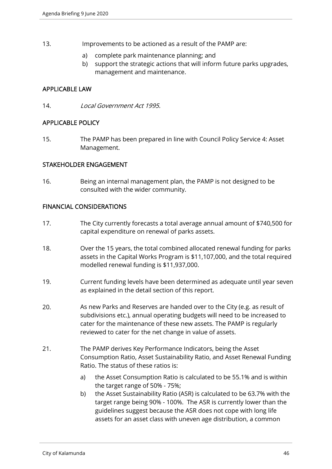- 13. Improvements to be actioned as a result of the PAMP are:
	- a) complete park maintenance planning; and
	- b) support the strategic actions that will inform future parks upgrades, management and maintenance.

## APPLICABLE LAW

14. Local Government Act 1995.

## APPLICABLE POLICY

15. The PAMP has been prepared in line with Council Policy Service 4: Asset Management.

# STAKEHOLDER ENGAGEMENT

16. Being an internal management plan, the PAMP is not designed to be consulted with the wider community.

## FINANCIAL CONSIDERATIONS

- 17. The City currently forecasts a total average annual amount of \$740,500 for capital expenditure on renewal of parks assets.
- 18. Over the 15 years, the total combined allocated renewal funding for parks assets in the Capital Works Program is \$11,107,000, and the total required modelled renewal funding is \$11,937,000.
- 19. Current funding levels have been determined as adequate until year seven as explained in the detail section of this report.
- 20. As new Parks and Reserves are handed over to the City (e.g. as result of subdivisions etc.), annual operating budgets will need to be increased to cater for the maintenance of these new assets. The PAMP is regularly reviewed to cater for the net change in value of assets.
- 21. The PAMP derives Key Performance Indicators, being the Asset Consumption Ratio, Asset Sustainability Ratio, and Asset Renewal Funding Ratio. The status of these ratios is:
	- a) the Asset Consumption Ratio is calculated to be 55.1% and is within the target range of 50% - 75%;
	- b) the Asset Sustainability Ratio (ASR) is calculated to be 63.7% with the target range being 90% - 100%. The ASR is currently lower than the guidelines suggest because the ASR does not cope with long life assets for an asset class with uneven age distribution, a common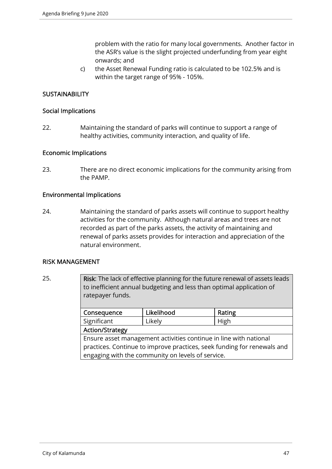problem with the ratio for many local governments. Another factor in the ASR's value is the slight projected underfunding from year eight onwards; and

c) the Asset Renewal Funding ratio is calculated to be 102.5% and is within the target range of 95% - 105%.

# **SUSTAINABILITY**

#### Social Implications

22. Maintaining the standard of parks will continue to support a range of healthy activities, community interaction, and quality of life.

#### Economic Implications

23. There are no direct economic implications for the community arising from the PAMP.

#### Environmental Implications

24. Maintaining the standard of parks assets will continue to support healthy activities for the community. Although natural areas and trees are not recorded as part of the parks assets, the activity of maintaining and renewal of parks assets provides for interaction and appreciation of the natural environment.

#### RISK MANAGEMENT

25. **Risk:** The lack of effective planning for the future renewal of assets leads to inefficient annual budgeting and less than optimal application of ratepayer funds.

| Consequence                                                             | Likelihood | Rating |  |  |
|-------------------------------------------------------------------------|------------|--------|--|--|
| Significant                                                             | Likely     | High   |  |  |
| <b>Action/Strategy</b>                                                  |            |        |  |  |
| Ensure asset management activities continue in line with national       |            |        |  |  |
| practices. Continue to improve practices, seek funding for renewals and |            |        |  |  |
| engaging with the community on levels of service.                       |            |        |  |  |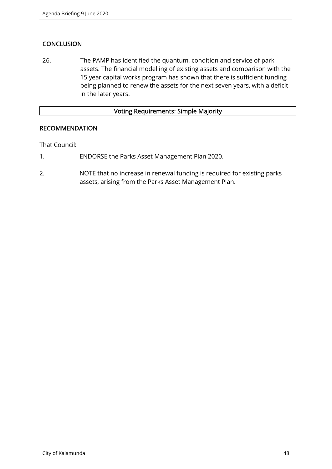# **CONCLUSION**

26. The PAMP has identified the quantum, condition and service of park assets. The financial modelling of existing assets and comparison with the 15 year capital works program has shown that there is sufficient funding being planned to renew the assets for the next seven years, with a deficit in the later years.

## Voting Requirements: Simple Majority

## RECOMMENDATION

That Council:

- 1. ENDORSE the Parks Asset Management Plan 2020.
- 2. NOTE that no increase in renewal funding is required for existing parks assets, arising from the Parks Asset Management Plan.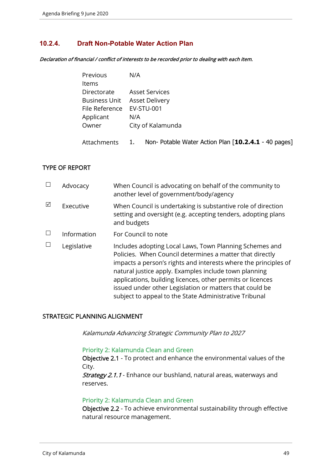# **10.2.4. Draft Non-Potable Water Action Plan**

Declaration of financial / conflict of interests to be recorded prior to dealing with each item.

| Previous                     | N/A                   |
|------------------------------|-----------------------|
| Items                        |                       |
| Directorate                  | <b>Asset Services</b> |
| Business Unit Asset Delivery |                       |
| File Reference EV-STU-001    |                       |
| Applicant                    | N/A                   |
| Owner                        | City of Kalamunda     |
|                              |                       |

Attachments 1. Non- Potable Water Action Plan [**10.2.4.1** - 40 pages]

## TYPE OF REPORT

|   | Advocacy    | When Council is advocating on behalf of the community to<br>another level of government/body/agency                                                                                                                                                                                                                                                                                                                                |
|---|-------------|------------------------------------------------------------------------------------------------------------------------------------------------------------------------------------------------------------------------------------------------------------------------------------------------------------------------------------------------------------------------------------------------------------------------------------|
| ⊠ | Executive   | When Council is undertaking is substantive role of direction<br>setting and oversight (e.g. accepting tenders, adopting plans<br>and budgets                                                                                                                                                                                                                                                                                       |
|   | Information | For Council to note                                                                                                                                                                                                                                                                                                                                                                                                                |
|   | Legislative | Includes adopting Local Laws, Town Planning Schemes and<br>Policies. When Council determines a matter that directly<br>impacts a person's rights and interests where the principles of<br>natural justice apply. Examples include town planning<br>applications, building licences, other permits or licences<br>issued under other Legislation or matters that could be<br>subject to appeal to the State Administrative Tribunal |

#### STRATEGIC PLANNING ALIGNMENT

Kalamunda Advancing Strategic Community Plan to 2027

#### Priority 2: Kalamunda Clean and Green

Objective 2.1 - To protect and enhance the environmental values of the City.

Strategy 2.1.1 - Enhance our bushland, natural areas, waterways and reserves.

#### Priority 2: Kalamunda Clean and Green

Objective 2.2 - To achieve environmental sustainability through effective natural resource management.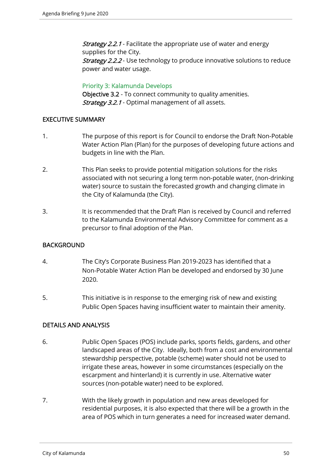**Strategy 2.2.1** - Facilitate the appropriate use of water and energy supplies for the City. **Strategy 2.2.2** - Use technology to produce innovative solutions to reduce power and water usage.

Priority 3: Kalamunda Develops Objective 3.2 - To connect community to quality amenities. **Strategy 3.2.1** - Optimal management of all assets.

## EXECUTIVE SUMMARY

- 1. The purpose of this report is for Council to endorse the Draft Non-Potable Water Action Plan (Plan) for the purposes of developing future actions and budgets in line with the Plan.
- 2. This Plan seeks to provide potential mitigation solutions for the risks associated with not securing a long term non-potable water, (non-drinking water) source to sustain the forecasted growth and changing climate in the City of Kalamunda (the City).
- 3. It is recommended that the Draft Plan is received by Council and referred to the Kalamunda Environmental Advisory Committee for comment as a precursor to final adoption of the Plan.

# BACKGROUND

- 4. The City's Corporate Business Plan 2019-2023 has identified that a Non-Potable Water Action Plan be developed and endorsed by 30 June 2020.
- 5. This initiative is in response to the emerging risk of new and existing Public Open Spaces having insufficient water to maintain their amenity.

# DETAILS AND ANALYSIS

- 6. Public Open Spaces (POS) include parks, sports fields, gardens, and other landscaped areas of the City. Ideally, both from a cost and environmental stewardship perspective, potable (scheme) water should not be used to irrigate these areas, however in some circumstances (especially on the escarpment and hinterland) it is currently in use. Alternative water sources (non-potable water) need to be explored.
- 7. With the likely growth in population and new areas developed for residential purposes, it is also expected that there will be a growth in the area of POS which in turn generates a need for increased water demand.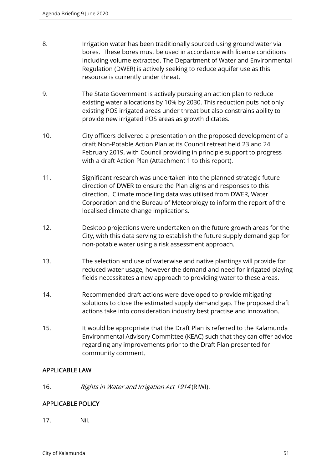- 8. Irrigation water has been traditionally sourced using ground water via bores. These bores must be used in accordance with licence conditions including volume extracted. The Department of Water and Environmental Regulation (DWER) is actively seeking to reduce aquifer use as this resource is currently under threat.
- 9. The State Government is actively pursuing an action plan to reduce existing water allocations by 10% by 2030. This reduction puts not only existing POS irrigated areas under threat but also constrains ability to provide new irrigated POS areas as growth dictates.
- 10. City officers delivered a presentation on the proposed development of a draft Non-Potable Action Plan at its Council retreat held 23 and 24 February 2019, with Council providing in principle support to progress with a draft Action Plan (Attachment 1 to this report).
- 11. Significant research was undertaken into the planned strategic future direction of DWER to ensure the Plan aligns and responses to this direction. Climate modelling data was utilised from DWER, Water Corporation and the Bureau of Meteorology to inform the report of the localised climate change implications.
- 12. Desktop projections were undertaken on the future growth areas for the City, with this data serving to establish the future supply demand gap for non-potable water using a risk assessment approach.
- 13. The selection and use of waterwise and native plantings will provide for reduced water usage, however the demand and need for irrigated playing fields necessitates a new approach to providing water to these areas.
- 14. Recommended draft actions were developed to provide mitigating solutions to close the estimated supply demand gap. The proposed draft actions take into consideration industry best practise and innovation.
- 15. It would be appropriate that the Draft Plan is referred to the Kalamunda Environmental Advisory Committee (KEAC) such that they can offer advice regarding any improvements prior to the Draft Plan presented for community comment.

# APPLICABLE LAW

16. Rights in Water and Irrigation Act 1914 (RIWI).

# APPLICABLE POLICY

17. Nil.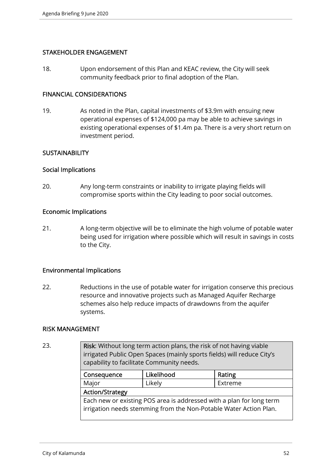## STAKEHOLDER ENGAGEMENT

18. Upon endorsement of this Plan and KEAC review, the City will seek community feedback prior to final adoption of the Plan.

#### FINANCIAL CONSIDERATIONS

19. As noted in the Plan, capital investments of \$3.9m with ensuing new operational expenses of \$124,000 pa may be able to achieve savings in existing operational expenses of \$1.4m pa. There is a very short return on investment period.

## **SUSTAINABILITY**

#### Social Implications

20. Any long-term constraints or inability to irrigate playing fields will compromise sports within the City leading to poor social outcomes.

#### Economic Implications

21. A long-term objective will be to eliminate the high volume of potable water being used for irrigation where possible which will result in savings in costs to the City.

## Environmental Implications

22. Reductions in the use of potable water for irrigation conserve this precious resource and innovative projects such as Managed Aquifer Recharge schemes also help reduce impacts of drawdowns from the aquifer systems.

#### RISK MANAGEMENT

23. **Risk:** Without long term action plans, the risk of not having viable irrigated Public Open Spaces (mainly sports fields) will reduce City's capability to facilitate Community needs.

| Consequence                                                          | Likelihood | Rating  |  |
|----------------------------------------------------------------------|------------|---------|--|
| Major                                                                | Likely     | Extreme |  |
| <b>Action/Strategy</b>                                               |            |         |  |
| Each new or existing POS area is addressed with a plan for long term |            |         |  |
| irrigation needs stemming from the Non-Potable Water Action Plan.    |            |         |  |
|                                                                      |            |         |  |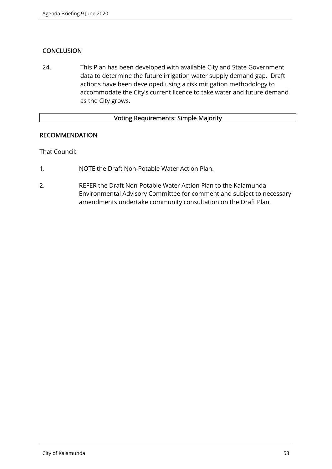# **CONCLUSION**

24. This Plan has been developed with available City and State Government data to determine the future irrigation water supply demand gap. Draft actions have been developed using a risk mitigation methodology to accommodate the City's current licence to take water and future demand as the City grows.

# Voting Requirements: Simple Majority

#### RECOMMENDATION

That Council:

- 1. NOTE the Draft Non-Potable Water Action Plan.
- 2. REFER the Draft Non-Potable Water Action Plan to the Kalamunda Environmental Advisory Committee for comment and subject to necessary amendments undertake community consultation on the Draft Plan.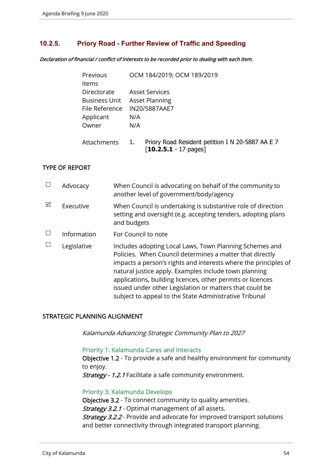## **10.2.5. Priory Road - Further Review of Traffic and Speeding**

Declaration of financial / conflict of interests to be recorded prior to dealing with each item.

| Previous             | OCM 184/2019; OCM 189/2019                                                                            |
|----------------------|-------------------------------------------------------------------------------------------------------|
| Items                |                                                                                                       |
| Directorate          | <b>Asset Services</b>                                                                                 |
| <b>Business Unit</b> | <b>Asset Planning</b>                                                                                 |
| File Reference       | IN20/5887AAE7                                                                                         |
| Applicant            | N/A                                                                                                   |
| Owner                | N/A                                                                                                   |
| Attachments          | Priory Road Resident petition I N 20-5887 AA E 7<br>1.<br>$\lceil 10.2.5.1 - 17 \text{ pages} \rceil$ |

## TYPE OF REPORT

|   | Advocacy    | When Council is advocating on behalf of the community to<br>another level of government/body/agency                                                                                                                                                                                                                                                                                                                                |
|---|-------------|------------------------------------------------------------------------------------------------------------------------------------------------------------------------------------------------------------------------------------------------------------------------------------------------------------------------------------------------------------------------------------------------------------------------------------|
| ⊠ | Executive   | When Council is undertaking is substantive role of direction<br>setting and oversight (e.g. accepting tenders, adopting plans<br>and budgets                                                                                                                                                                                                                                                                                       |
|   | Information | For Council to note                                                                                                                                                                                                                                                                                                                                                                                                                |
|   | Legislative | Includes adopting Local Laws, Town Planning Schemes and<br>Policies. When Council determines a matter that directly<br>impacts a person's rights and interests where the principles of<br>natural justice apply. Examples include town planning<br>applications, building licences, other permits or licences<br>issued under other Legislation or matters that could be<br>subject to appeal to the State Administrative Tribunal |

## STRATEGIC PLANNING ALIGNMENT

Kalamunda Advancing Strategic Community Plan to 2027

#### Priority 1: Kalamunda Cares and Interacts

Objective 1.2 - To provide a safe and healthy environment for community to enjoy.

Strategy - 1.2.1 Facilitate a safe community environment.

#### Priority 3: Kalamunda Develops

Objective 3.2 - To connect community to quality amenities. Strategy 3.2.1 - Optimal management of all assets. **Strategy 3.2.2** - Provide and advocate for improved transport solutions and better connectivity through integrated transport planning.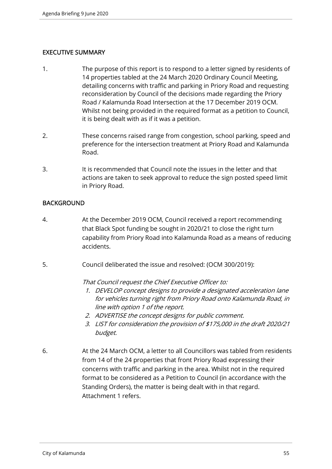# EXECUTIVE SUMMARY

- 1. The purpose of this report is to respond to a letter signed by residents of 14 properties tabled at the 24 March 2020 Ordinary Council Meeting, detailing concerns with traffic and parking in Priory Road and requesting reconsideration by Council of the decisions made regarding the Priory Road / Kalamunda Road Intersection at the 17 December 2019 OCM. Whilst not being provided in the required format as a petition to Council, it is being dealt with as if it was a petition.
- 2. These concerns raised range from congestion, school parking, speed and preference for the intersection treatment at Priory Road and Kalamunda Road.
- 3. It is recommended that Council note the issues in the letter and that actions are taken to seek approval to reduce the sign posted speed limit in Priory Road.

# **BACKGROUND**

- 4. At the December 2019 OCM, Council received a report recommending that Black Spot funding be sought in 2020/21 to close the right turn capability from Priory Road into Kalamunda Road as a means of reducing accidents.
- 5. Council deliberated the issue and resolved: (OCM 300/2019):

That Council request the Chief Executive Officer to:

- 1. DEVELOP concept designs to provide a designated acceleration lane for vehicles turning right from Priory Road onto Kalamunda Road, in line with option 1 of the report.
- 2. ADVERTISE the concept designs for public comment.
- 3. LIST for consideration the provision of \$175,000 in the draft 2020/21 budget.
- 6. At the 24 March OCM, a letter to all Councillors was tabled from residents from 14 of the 24 properties that front Priory Road expressing their concerns with traffic and parking in the area. Whilst not in the required format to be considered as a Petition to Council (in accordance with the Standing Orders), the matter is being dealt with in that regard. Attachment 1 refers.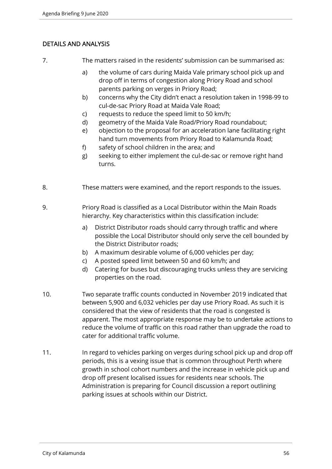# DETAILS AND ANALYSIS

7. The matters raised in the residents' submission can be summarised as:

- a) the volume of cars during Maida Vale primary school pick up and drop off in terms of congestion along Priory Road and school parents parking on verges in Priory Road;
- b) concerns why the City didn't enact a resolution taken in 1998-99 to cul-de-sac Priory Road at Maida Vale Road;
- c) requests to reduce the speed limit to 50 km/h;
- d) geometry of the Maida Vale Road/Priory Road roundabout;
- e) objection to the proposal for an acceleration lane facilitating right hand turn movements from Priory Road to Kalamunda Road;
- f) safety of school children in the area; and
- g) seeking to either implement the cul-de-sac or remove right hand turns.
- 8. These matters were examined, and the report responds to the issues.
- 9. Priory Road is classified as a Local Distributor within the Main Roads hierarchy. Key characteristics within this classification include:
	- a) District Distributor roads should carry through traffic and where possible the Local Distributor should only serve the cell bounded by the District Distributor roads;
	- b) A maximum desirable volume of 6,000 vehicles per day;
	- c) A posted speed limit between 50 and 60 km/h; and
	- d) Catering for buses but discouraging trucks unless they are servicing properties on the road.
- 10. Two separate traffic counts conducted in November 2019 indicated that between 5,900 and 6,032 vehicles per day use Priory Road. As such it is considered that the view of residents that the road is congested is apparent. The most appropriate response may be to undertake actions to reduce the volume of traffic on this road rather than upgrade the road to cater for additional traffic volume.
- 11. In regard to vehicles parking on verges during school pick up and drop off periods, this is a vexing issue that is common throughout Perth where growth in school cohort numbers and the increase in vehicle pick up and drop off present localised issues for residents near schools. The Administration is preparing for Council discussion a report outlining parking issues at schools within our District.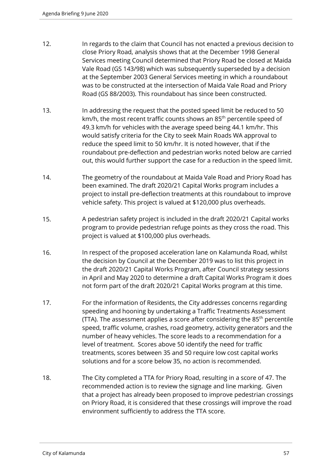- 12. In regards to the claim that Council has not enacted a previous decision to close Priory Road, analysis shows that at the December 1998 General Services meeting Council determined that Priory Road be closed at Maida Vale Road (GS 143/98) which was subsequently superseded by a decision at the September 2003 General Services meeting in which a roundabout was to be constructed at the intersection of Maida Vale Road and Priory Road (GS 88/2003). This roundabout has since been constructed.
- 13. In addressing the request that the posted speed limit be reduced to 50 km/h, the most recent traffic counts shows an 85<sup>th</sup> percentile speed of 49.3 km/h for vehicles with the average speed being 44.1 km/hr. This would satisfy criteria for the City to seek Main Roads WA approval to reduce the speed limit to 50 km/hr. It is noted however, that if the roundabout pre-deflection and pedestrian works noted below are carried out, this would further support the case for a reduction in the speed limit.
- 14. The geometry of the roundabout at Maida Vale Road and Priory Road has been examined. The draft 2020/21 Capital Works program includes a project to install pre-deflection treatments at this roundabout to improve vehicle safety. This project is valued at \$120,000 plus overheads.
- 15. A pedestrian safety project is included in the draft 2020/21 Capital works program to provide pedestrian refuge points as they cross the road. This project is valued at \$100,000 plus overheads.
- 16. In respect of the proposed acceleration lane on Kalamunda Road, whilst the decision by Council at the December 2019 was to list this project in the draft 2020/21 Capital Works Program, after Council strategy sessions in April and May 2020 to determine a draft Capital Works Program it does not form part of the draft 2020/21 Capital Works program at this time.
- 17. For the information of Residents, the City addresses concerns regarding speeding and hooning by undertaking a Traffic Treatments Assessment (TTA). The assessment applies a score after considering the  $85<sup>th</sup>$  percentile speed, traffic volume, crashes, road geometry, activity generators and the number of heavy vehicles. The score leads to a recommendation for a level of treatment. Scores above 50 identify the need for traffic treatments, scores between 35 and 50 require low cost capital works solutions and for a score below 35, no action is recommended.
- 18. The City completed a TTA for Priory Road, resulting in a score of 47. The recommended action is to review the signage and line marking. Given that a project has already been proposed to improve pedestrian crossings on Priory Road, it is considered that these crossings will improve the road environment sufficiently to address the TTA score.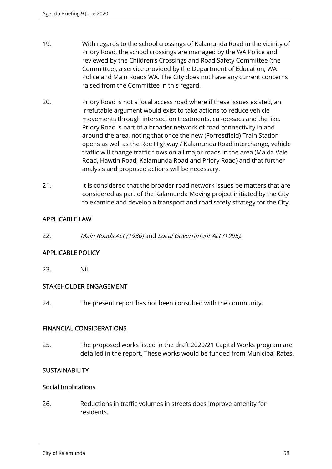- 19. With regards to the school crossings of Kalamunda Road in the vicinity of Priory Road, the school crossings are managed by the WA Police and reviewed by the Children's Crossings and Road Safety Committee (the Committee), a service provided by the Department of Education, WA Police and Main Roads WA. The City does not have any current concerns raised from the Committee in this regard.
- 20. Priory Road is not a local access road where if these issues existed, an irrefutable argument would exist to take actions to reduce vehicle movements through intersection treatments, cul-de-sacs and the like. Priory Road is part of a broader network of road connectivity in and around the area, noting that once the new (Forrestfield) Train Station opens as well as the Roe Highway / Kalamunda Road interchange, vehicle traffic will change traffic flows on all major roads in the area (Maida Vale Road, Hawtin Road, Kalamunda Road and Priory Road) and that further analysis and proposed actions will be necessary.
- 21. It is considered that the broader road network issues be matters that are considered as part of the Kalamunda Moving project initiated by the City to examine and develop a transport and road safety strategy for the City.

# APPLICABLE LAW

22. Main Roads Act (1930) and Local Government Act (1995).

# APPLICABLE POLICY

23. Nil.

## STAKEHOLDER ENGAGEMENT

24. The present report has not been consulted with the community.

## FINANCIAL CONSIDERATIONS

25. The proposed works listed in the draft 2020/21 Capital Works program are detailed in the report. These works would be funded from Municipal Rates.

## **SUSTAINABILITY**

#### Social Implications

26. Reductions in traffic volumes in streets does improve amenity for residents.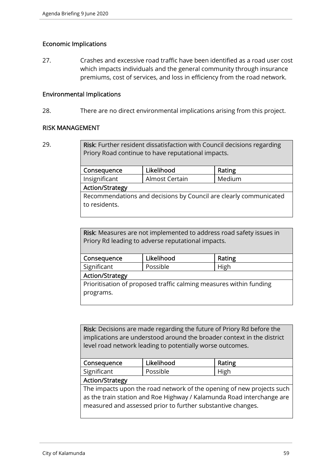# Economic Implications

27. Crashes and excessive road traffic have been identified as a road user cost which impacts individuals and the general community through insurance premiums, cost of services, and loss in efficiency from the road network.

#### Environmental Implications

28. There are no direct environmental implications arising from this project.

#### RISK MANAGEMENT

Risk: Further resident dissatisfaction with Council decisions regarding Priory Road continue to have reputational impacts.

| Consequence                                                       | Likelihood     | Rating |  |  |
|-------------------------------------------------------------------|----------------|--------|--|--|
| Insignificant                                                     | Almost Certain | Medium |  |  |
| <b>Action/Strategy</b>                                            |                |        |  |  |
| Recommendations and decisions by Council are clearly communicated |                |        |  |  |
| to residents.                                                     |                |        |  |  |
|                                                                   |                |        |  |  |

Risk: Measures are not implemented to address road safety issues in Priory Rd leading to adverse reputational impacts.

| Consequence                                                        | Likelihood | Rating |  |  |
|--------------------------------------------------------------------|------------|--------|--|--|
| Significant                                                        | Possible   | High   |  |  |
| <b>Action/Strategy</b>                                             |            |        |  |  |
| Prioritisation of proposed traffic calming measures within funding |            |        |  |  |
| programs.                                                          |            |        |  |  |
|                                                                    |            |        |  |  |

Risk: Decisions are made regarding the future of Priory Rd before the implications are understood around the broader context in the district level road network leading to potentially worse outcomes.

| Consequence                                                           | Likelihood | Rating |  |  |
|-----------------------------------------------------------------------|------------|--------|--|--|
| Significant                                                           | Possible   | High   |  |  |
| <b>Action/Strategy</b>                                                |            |        |  |  |
| The impacts upon the road network of the opening of new projects such |            |        |  |  |
| as the train station and Roe Highway / Kalamunda Road interchange are |            |        |  |  |
| measured and assessed prior to further substantive changes.           |            |        |  |  |
|                                                                       |            |        |  |  |

<sup>29.</sup>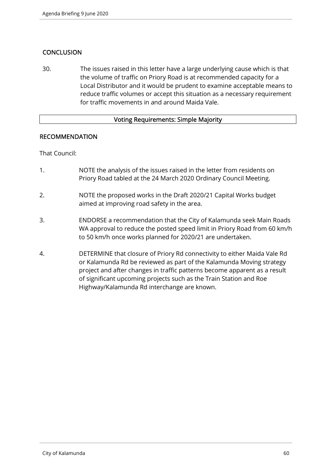# **CONCLUSION**

30. The issues raised in this letter have a large underlying cause which is that the volume of traffic on Priory Road is at recommended capacity for a Local Distributor and it would be prudent to examine acceptable means to reduce traffic volumes or accept this situation as a necessary requirement for traffic movements in and around Maida Vale.

## Voting Requirements: Simple Majority

## RECOMMENDATION

That Council:

- 1. NOTE the analysis of the issues raised in the letter from residents on Priory Road tabled at the 24 March 2020 Ordinary Council Meeting.
- 2. NOTE the proposed works in the Draft 2020/21 Capital Works budget aimed at improving road safety in the area.
- 3. ENDORSE a recommendation that the City of Kalamunda seek Main Roads WA approval to reduce the posted speed limit in Priory Road from 60 km/h to 50 km/h once works planned for 2020/21 are undertaken.
- 4. DETERMINE that closure of Priory Rd connectivity to either Maida Vale Rd or Kalamunda Rd be reviewed as part of the Kalamunda Moving strategy project and after changes in traffic patterns become apparent as a result of significant upcoming projects such as the Train Station and Roe Highway/Kalamunda Rd interchange are known.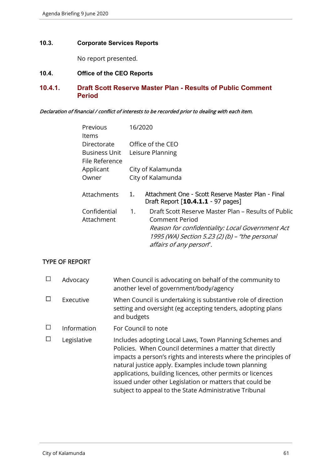#### **10.3. Corporate Services Reports**

No report presented.

## **10.4. Office of the CEO Reports**

## **10.4.1. Draft Scott Reserve Master Plan - Results of Public Comment Period**

#### Declaration of financial / conflict of interests to be recorded prior to dealing with each item.

| Previous                               | 16/2020     |                                                                                          |
|----------------------------------------|-------------|------------------------------------------------------------------------------------------|
| ltems                                  |             |                                                                                          |
| Directorate                            |             | Office of the CEO                                                                        |
| <b>Business Unit</b><br>File Reference |             | Leisure Planning                                                                         |
| Applicant                              |             | City of Kalamunda                                                                        |
| Owner                                  |             | City of Kalamunda                                                                        |
| Attachments                            | 1.          | Attachment One - Scott Reserve Master Plan - Final<br>Draft Report [10.4.1.1 - 97 pages] |
| Confidential                           | $1_{\cdot}$ | Draft Scott Reserve Master Plan – Results of Public                                      |
| Attachment                             |             | Comment Period                                                                           |
|                                        |             | Reason for confidentiality: Local Government Act                                         |
|                                        |             | 1995 (WA) Section 5.23 (2) (b) - "the personal                                           |
|                                        |             | affairs of any person".                                                                  |

## TYPE OF REPORT

| Advocacy    | When Council is advocating on behalf of the community to<br>another level of government/body/agency                                                                                                                                                                                                                                                                                                                                |
|-------------|------------------------------------------------------------------------------------------------------------------------------------------------------------------------------------------------------------------------------------------------------------------------------------------------------------------------------------------------------------------------------------------------------------------------------------|
| Executive   | When Council is undertaking is substantive role of direction<br>setting and oversight (eg accepting tenders, adopting plans<br>and budgets                                                                                                                                                                                                                                                                                         |
| Information | For Council to note                                                                                                                                                                                                                                                                                                                                                                                                                |
| Legislative | Includes adopting Local Laws, Town Planning Schemes and<br>Policies. When Council determines a matter that directly<br>impacts a person's rights and interests where the principles of<br>natural justice apply. Examples include town planning<br>applications, building licences, other permits or licences<br>issued under other Legislation or matters that could be<br>subject to appeal to the State Administrative Tribunal |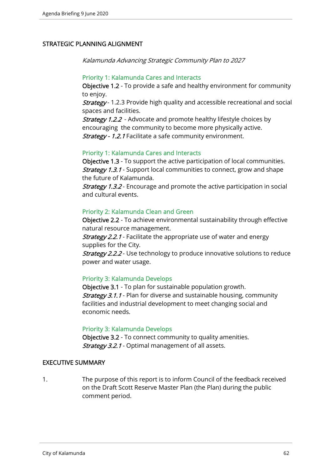## STRATEGIC PLANNING ALIGNMENT

Kalamunda Advancing Strategic Community Plan to 2027

#### Priority 1: Kalamunda Cares and Interacts

Objective 1.2 - To provide a safe and healthy environment for community to enjoy.

**Strategy** - 1.2.3 Provide high quality and accessible recreational and social spaces and facilities.

**Strategy 1.2.2** - Advocate and promote healthy lifestyle choices by encouraging the community to become more physically active. Strategy - 1.2.1 Facilitate a safe community environment.

#### Priority 1: Kalamunda Cares and Interacts

Objective 1.3 - To support the active participation of local communities. **Strategy 1.3.1** - Support local communities to connect, grow and shape the future of Kalamunda.

**Strategy 1.3.2** - Encourage and promote the active participation in social and cultural events.

## Priority 2: Kalamunda Clean and Green

Objective 2.2 - To achieve environmental sustainability through effective natural resource management.

**Strategy 2.2.1** - Facilitate the appropriate use of water and energy supplies for the City.

**Strategy 2.2.2** - Use technology to produce innovative solutions to reduce power and water usage.

## Priority 3: Kalamunda Develops

Objective 3.1 - To plan for sustainable population growth. **Strategy 3.1.1** - Plan for diverse and sustainable housing, community facilities and industrial development to meet changing social and economic needs.

#### Priority 3: Kalamunda Develops

Objective 3.2 - To connect community to quality amenities. **Strategy 3.2.1** - Optimal management of all assets.

## EXECUTIVE SUMMARY

1. The purpose of this report is to inform Council of the feedback received on the Draft Scott Reserve Master Plan (the Plan) during the public comment period.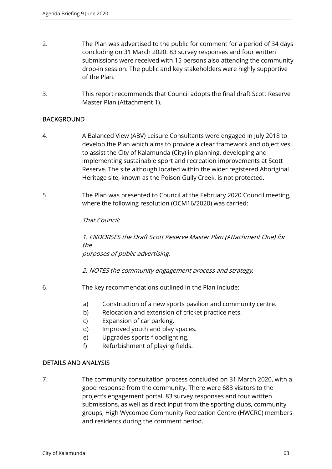- 2. The Plan was advertised to the public for comment for a period of 34 days concluding on 31 March 2020. 83 survey responses and four written submissions were received with 15 persons also attending the community drop-in session. The public and key stakeholders were highly supportive of the Plan.
- 3. This report recommends that Council adopts the final draft Scott Reserve Master Plan (Attachment 1).

## **BACKGROUND**

- 4. A Balanced View (ABV) Leisure Consultants were engaged in July 2018 to develop the Plan which aims to provide a clear framework and objectives to assist the City of Kalamunda (City) in planning, developing and implementing sustainable sport and recreation improvements at Scott Reserve. The site although located within the wider registered Aboriginal Heritage site, known as the Poison Gully Creek, is not protected.
- 5. The Plan was presented to Council at the February 2020 Council meeting, where the following resolution (OCM16/2020) was carried:

## That Council:

1. ENDORSES the Draft Scott Reserve Master Plan (Attachment One) for the purposes of public advertising.

2. NOTES the community engagement process and strategy.

- 6. The key recommendations outlined in the Plan include:
	- a) Construction of a new sports pavilion and community centre.
	- b) Relocation and extension of cricket practice nets.
	- c) Expansion of car parking.
	- d) Improved youth and play spaces.
	- e) Upgrades sports floodlighting.
	- f) Refurbishment of playing fields.

## DETAILS AND ANALYSIS

7. The community consultation process concluded on 31 March 2020, with a good response from the community. There were 683 visitors to the project's engagement portal, 83 survey responses and four written submissions, as well as direct input from the sporting clubs, community groups, High Wycombe Community Recreation Centre (HWCRC) members and residents during the comment period.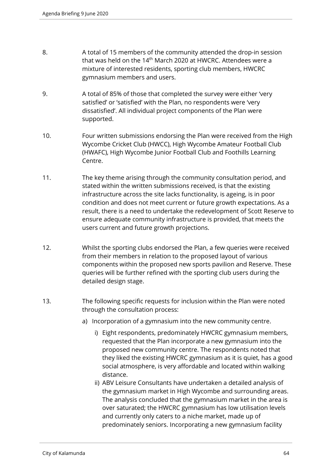- 8. A total of 15 members of the community attended the drop-in session that was held on the 14<sup>th</sup> March 2020 at HWCRC. Attendees were a mixture of interested residents, sporting club members, HWCRC gymnasium members and users.
- 9. A total of 85% of those that completed the survey were either 'very satisfied' or 'satisfied' with the Plan, no respondents were 'very dissatisfied'. All individual project components of the Plan were supported.
- 10. Four written submissions endorsing the Plan were received from the High Wycombe Cricket Club (HWCC), High Wycombe Amateur Football Club (HWAFC), High Wycombe Junior Football Club and Foothills Learning Centre.
- 11. The key theme arising through the community consultation period, and stated within the written submissions received, is that the existing infrastructure across the site lacks functionality, is ageing, is in poor condition and does not meet current or future growth expectations. As a result, there is a need to undertake the redevelopment of Scott Reserve to ensure adequate community infrastructure is provided, that meets the users current and future growth projections.
- 12. Whilst the sporting clubs endorsed the Plan, a few queries were received from their members in relation to the proposed layout of various components within the proposed new sports pavilion and Reserve. These queries will be further refined with the sporting club users during the detailed design stage.
- 13. The following specific requests for inclusion within the Plan were noted through the consultation process:
	- a) Incorporation of a gymnasium into the new community centre.
		- i) Eight respondents, predominately HWCRC gymnasium members, requested that the Plan incorporate a new gymnasium into the proposed new community centre. The respondents noted that they liked the existing HWCRC gymnasium as it is quiet, has a good social atmosphere, is very affordable and located within walking distance.
		- ii) ABV Leisure Consultants have undertaken a detailed analysis of the gymnasium market in High Wycombe and surrounding areas. The analysis concluded that the gymnasium market in the area is over saturated; the HWCRC gymnasium has low utilisation levels and currently only caters to a niche market, made up of predominately seniors. Incorporating a new gymnasium facility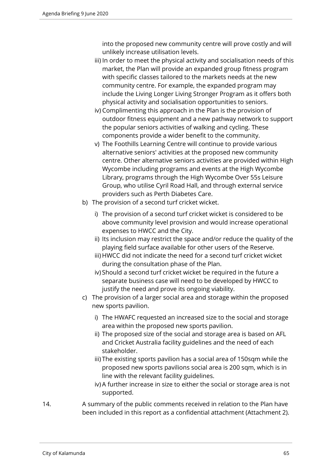into the proposed new community centre will prove costly and will unlikely increase utilisation levels.

- iii) In order to meet the physical activity and socialisation needs of this market, the Plan will provide an expanded group fitness program with specific classes tailored to the markets needs at the new community centre. For example, the expanded program may include the Living Longer Living Stronger Program as it offers both physical activity and socialisation opportunities to seniors.
- iv) Complimenting this approach in the Plan is the provision of outdoor fitness equipment and a new pathway network to support the popular seniors activities of walking and cycling. These components provide a wider benefit to the community.
- v) The Foothills Learning Centre will continue to provide various alternative seniors' activities at the proposed new community centre. Other alternative seniors activities are provided within High Wycombe including programs and events at the High Wycombe Library, programs through the High Wycombe Over 55s Leisure Group, who utilise Cyril Road Hall, and through external service providers such as Perth Diabetes Care.
- b) The provision of a second turf cricket wicket.
	- i) The provision of a second turf cricket wicket is considered to be above community level provision and would increase operational expenses to HWCC and the City.
	- ii) Its inclusion may restrict the space and/or reduce the quality of the playing field surface available for other users of the Reserve.
	- iii) HWCC did not indicate the need for a second turf cricket wicket during the consultation phase of the Plan.
	- iv) Should a second turf cricket wicket be required in the future a separate business case will need to be developed by HWCC to justify the need and prove its ongoing viability.
- c) The provision of a larger social area and storage within the proposed new sports pavilion.
	- i) The HWAFC requested an increased size to the social and storage area within the proposed new sports pavilion.
	- ii) The proposed size of the social and storage area is based on AFL and Cricket Australia facility guidelines and the need of each stakeholder.
	- iii) The existing sports pavilion has a social area of 150sqm while the proposed new sports pavilions social area is 200 sqm, which is in line with the relevant facility guidelines.
	- iv) A further increase in size to either the social or storage area is not supported.
- 14. A summary of the public comments received in relation to the Plan have been included in this report as a confidential attachment (Attachment 2).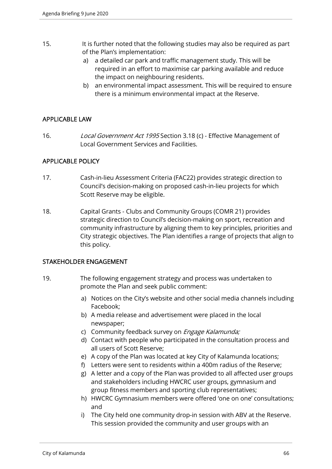- 15. It is further noted that the following studies may also be required as part of the Plan's implementation:
	- a) a detailed car park and traffic management study. This will be required in an effort to maximise car parking available and reduce the impact on neighbouring residents.
	- b) an environmental impact assessment. This will be required to ensure there is a minimum environmental impact at the Reserve.

# APPLICABLE LAW

16. Local Government Act 1995 Section 3.18 (c) - Effective Management of Local Government Services and Facilities.

# APPLICABLE POLICY

- 17. Cash-in-lieu Assessment Criteria (FAC22) provides strategic direction to Council's decision-making on proposed cash-in-lieu projects for which Scott Reserve may be eligible.
- 18. Capital Grants Clubs and Community Groups (COMR 21) provides strategic direction to Council's decision-making on sport, recreation and community infrastructure by aligning them to key principles, priorities and City strategic objectives. The Plan identifies a range of projects that align to this policy.

## STAKEHOLDER ENGAGEMENT

- 19. The following engagement strategy and process was undertaken to promote the Plan and seek public comment:
	- a) Notices on the City's website and other social media channels including Facebook;
	- b) A media release and advertisement were placed in the local newspaper;
	- c) Community feedback survey on *Engage Kalamunda;*
	- d) Contact with people who participated in the consultation process and all users of Scott Reserve;
	- e) A copy of the Plan was located at key City of Kalamunda locations;
	- f) Letters were sent to residents within a 400m radius of the Reserve;
	- g) A letter and a copy of the Plan was provided to all affected user groups and stakeholders including HWCRC user groups, gymnasium and group fitness members and sporting club representatives;
	- h) HWCRC Gymnasium members were offered 'one on one' consultations; and
	- i) The City held one community drop-in session with ABV at the Reserve. This session provided the community and user groups with an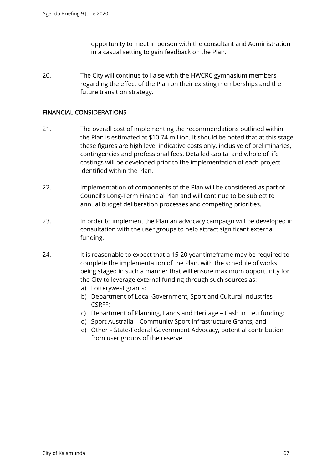opportunity to meet in person with the consultant and Administration in a casual setting to gain feedback on the Plan.

20. The City will continue to liaise with the HWCRC gymnasium members regarding the effect of the Plan on their existing memberships and the future transition strategy.

## FINANCIAL CONSIDERATIONS

- 21. The overall cost of implementing the recommendations outlined within the Plan is estimated at \$10.74 million. It should be noted that at this stage these figures are high level indicative costs only, inclusive of preliminaries, contingencies and professional fees. Detailed capital and whole of life costings will be developed prior to the implementation of each project identified within the Plan.
- 22. Implementation of components of the Plan will be considered as part of Council's Long-Term Financial Plan and will continue to be subject to annual budget deliberation processes and competing priorities.
- 23. In order to implement the Plan an advocacy campaign will be developed in consultation with the user groups to help attract significant external funding.
- 24. It is reasonable to expect that a 15-20 year timeframe may be required to complete the implementation of the Plan, with the schedule of works being staged in such a manner that will ensure maximum opportunity for the City to leverage external funding through such sources as:
	- a) Lotterywest grants;
	- b) Department of Local Government, Sport and Cultural Industries CSRFF;
	- c) Department of Planning, Lands and Heritage Cash in Lieu funding;
	- d) Sport Australia Community Sport Infrastructure Grants; and
	- e) Other State/Federal Government Advocacy, potential contribution from user groups of the reserve.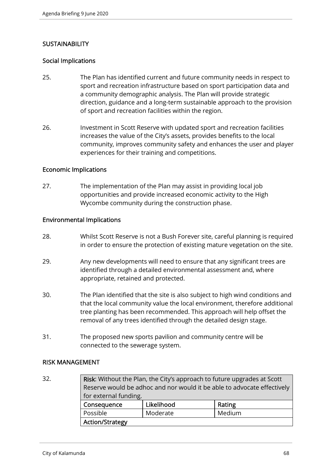# **SUSTAINABILITY**

# Social Implications

- 25. The Plan has identified current and future community needs in respect to sport and recreation infrastructure based on sport participation data and a community demographic analysis. The Plan will provide strategic direction, guidance and a long-term sustainable approach to the provision of sport and recreation facilities within the region.
- 26. Investment in Scott Reserve with updated sport and recreation facilities increases the value of the City's assets, provides benefits to the local community, improves community safety and enhances the user and player experiences for their training and competitions.

## Economic Implications

27. The implementation of the Plan may assist in providing local job opportunities and provide increased economic activity to the High Wycombe community during the construction phase.

## Environmental Implications

- 28. Whilst Scott Reserve is not a Bush Forever site, careful planning is required in order to ensure the protection of existing mature vegetation on the site.
- 29. Any new developments will need to ensure that any significant trees are identified through a detailed environmental assessment and, where appropriate, retained and protected.
- 30. The Plan identified that the site is also subject to high wind conditions and that the local community value the local environment, therefore additional tree planting has been recommended. This approach will help offset the removal of any trees identified through the detailed design stage.
- 31. The proposed new sports pavilion and community centre will be connected to the sewerage system.

## RISK MANAGEMENT

32. **Risk:** Without the Plan, the City's approach to future upgrades at Scott Reserve would be adhoc and nor would it be able to advocate effectively for external funding. Consequence | Likelihood | Rating Possible Moderate Medium Action/Strategy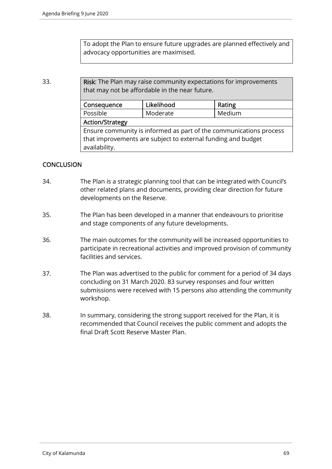To adopt the Plan to ensure future upgrades are planned effectively and advocacy opportunities are maximised.

33. **Risk:** The Plan may raise community expectations for improvements that may not be affordable in the near future.

| Consequence                                                        | Likelihood | Rating |  |  |  |
|--------------------------------------------------------------------|------------|--------|--|--|--|
| Possible                                                           | Moderate   | Medium |  |  |  |
| <b>Action/Strategy</b>                                             |            |        |  |  |  |
| Ensure community is informed as part of the communications process |            |        |  |  |  |
| that improvements are subject to external funding and budget       |            |        |  |  |  |
| availability.                                                      |            |        |  |  |  |
|                                                                    |            |        |  |  |  |

# **CONCLUSION**

- 34. The Plan is a strategic planning tool that can be integrated with Council's other related plans and documents, providing clear direction for future developments on the Reserve.
- 35. The Plan has been developed in a manner that endeavours to prioritise and stage components of any future developments.
- 36. The main outcomes for the community will be increased opportunities to participate in recreational activities and improved provision of community facilities and services.
- 37. The Plan was advertised to the public for comment for a period of 34 days concluding on 31 March 2020. 83 survey responses and four written submissions were received with 15 persons also attending the community workshop.
- 38. In summary, considering the strong support received for the Plan, it is recommended that Council receives the public comment and adopts the final Draft Scott Reserve Master Plan.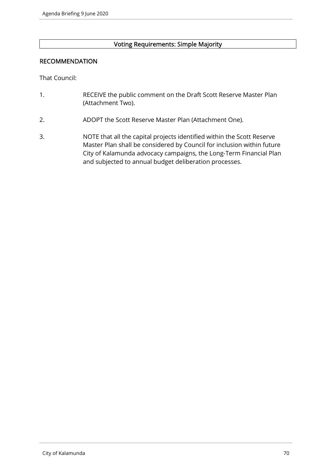## Voting Requirements: Simple Majority

## RECOMMENDATION

That Council:

- 1. RECEIVE the public comment on the Draft Scott Reserve Master Plan (Attachment Two).
- 2. ADOPT the Scott Reserve Master Plan (Attachment One).
- 3. NOTE that all the capital projects identified within the Scott Reserve Master Plan shall be considered by Council for inclusion within future City of Kalamunda advocacy campaigns, the Long-Term Financial Plan and subjected to annual budget deliberation processes.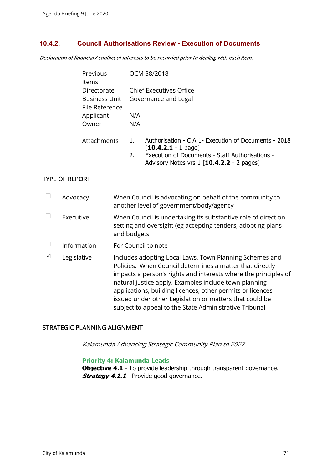## **10.4.2. Council Authorisations Review - Execution of Documents**

Declaration of financial / conflict of interests to be recorded prior to dealing with each item.

| Previous       | OCM 38/2018                                                |
|----------------|------------------------------------------------------------|
| <b>Items</b>   |                                                            |
| Directorate    | <b>Chief Executives Office</b>                             |
| Business Unit  | Governance and Legal                                       |
| File Reference |                                                            |
| Applicant      | N/A                                                        |
| Owner          | N/A                                                        |
|                |                                                            |
| Attachments    | Authorisation - C A 1- Execution of Documents - 2018<br>1. |
|                | $\lceil 10.4.2.1 - 1 \text{ page} \rceil$                  |
|                | Execution of Documents - Staff Authorisations -<br>2.      |

Advisory Notes vrs 1 [**10.4.2.2** - 2 pages]

## TYPE OF REPORT

|   | Advocacy    | When Council is advocating on behalf of the community to<br>another level of government/body/agency                                                                                                                                                                                                                                                                                                                                |
|---|-------------|------------------------------------------------------------------------------------------------------------------------------------------------------------------------------------------------------------------------------------------------------------------------------------------------------------------------------------------------------------------------------------------------------------------------------------|
|   | Executive   | When Council is undertaking its substantive role of direction<br>setting and oversight (eg accepting tenders, adopting plans<br>and budgets                                                                                                                                                                                                                                                                                        |
|   | Information | For Council to note                                                                                                                                                                                                                                                                                                                                                                                                                |
| ⊠ | Legislative | Includes adopting Local Laws, Town Planning Schemes and<br>Policies. When Council determines a matter that directly<br>impacts a person's rights and interests where the principles of<br>natural justice apply. Examples include town planning<br>applications, building licences, other permits or licences<br>issued under other Legislation or matters that could be<br>subject to appeal to the State Administrative Tribunal |

### STRATEGIC PLANNING ALIGNMENT

Kalamunda Advancing Strategic Community Plan to 2027

#### **Priority 4: Kalamunda Leads**

**Objective 4.1** - To provide leadership through transparent governance. **Strategy 4.1.1** - Provide good governance.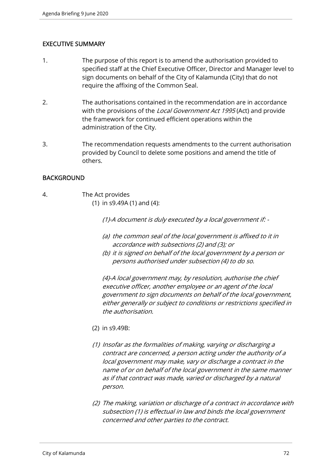# EXECUTIVE SUMMARY

- 1. The purpose of this report is to amend the authorisation provided to specified staff at the Chief Executive Officer, Director and Manager level to sign documents on behalf of the City of Kalamunda (City) that do not require the affixing of the Common Seal.
- 2. The authorisations contained in the recommendation are in accordance with the provisions of the *Local Government Act 1995* (Act) and provide the framework for continued efficient operations within the administration of the City.
- 3. The recommendation requests amendments to the current authorisation provided by Council to delete some positions and amend the title of others.

## BACKGROUND

4. The Act provides (1) in s9.49A (1) and (4):

(1)-A document is duly executed by a local government if: -

- (a) the common seal of the local government is affixed to it in accordance with subsections (2) and (3); or
- (b) it is signed on behalf of the local government by a person or persons authorised under subsection (4) to do so.

(4)-A local government may, by resolution, authorise the chief executive officer, another employee or an agent of the local government to sign documents on behalf of the local government, either generally or subject to conditions or restrictions specified in the authorisation.

- (2) in s9.49B:
- (1) Insofar as the formalities of making, varying or discharging a contract are concerned, a person acting under the authority of a local government may make, vary or discharge a contract in the name of or on behalf of the local government in the same manner as if that contract was made, varied or discharged by a natural person.
- (2) The making, variation or discharge of a contract in accordance with subsection (1) is effectual in law and binds the local government concerned and other parties to the contract.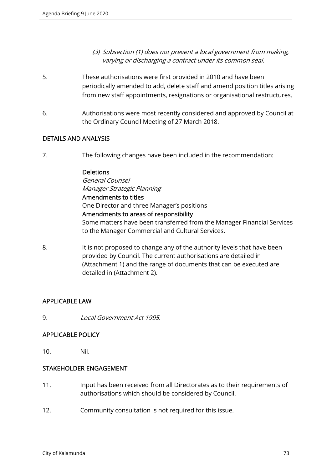- (3) Subsection (1) does not prevent a local government from making, varying or discharging a contract under its common seal.
- 5. These authorisations were first provided in 2010 and have been periodically amended to add, delete staff and amend position titles arising from new staff appointments, resignations or organisational restructures.
- 6. Authorisations were most recently considered and approved by Council at the Ordinary Council Meeting of 27 March 2018.

# DETAILS AND ANALYSIS

7. The following changes have been included in the recommendation:

#### **Deletions**

General Counsel Manager Strategic Planning Amendments to titles One Director and three Manager's positions Amendments to areas of responsibility Some matters have been transferred from the Manager Financial Services to the Manager Commercial and Cultural Services.

8. It is not proposed to change any of the authority levels that have been provided by Council. The current authorisations are detailed in (Attachment 1) and the range of documents that can be executed are detailed in (Attachment 2).

# APPLICABLE LAW

9. Local Government Act 1995.

# APPLICABLE POLICY

10. Nil.

# STAKEHOLDER ENGAGEMENT

- 11. Input has been received from all Directorates as to their requirements of authorisations which should be considered by Council.
- 12. Community consultation is not required for this issue.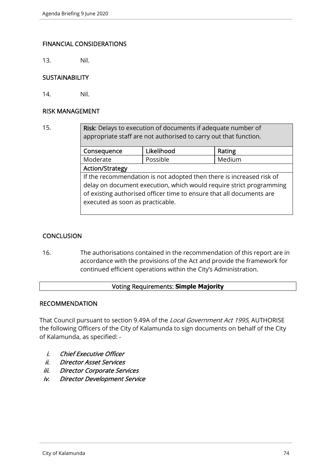# FINANCIAL CONSIDERATIONS

13. Nil.

#### **SUSTAINABILITY**

14. Nil.

## RISK MANAGEMENT

15. **Risk:** Delays to execution of documents if adequate number of appropriate staff are not authorised to carry out that function.

| Consequence                                                          | Likelihood | Rating |  |  |
|----------------------------------------------------------------------|------------|--------|--|--|
| Moderate                                                             | Possible   | Medium |  |  |
| <b>Action/Strategy</b>                                               |            |        |  |  |
| If the recommendation is not adopted then there is increased risk of |            |        |  |  |
| delay on document execution, which would require strict programming  |            |        |  |  |
| of existing authorised officer time to ensure that all documents are |            |        |  |  |
| executed as soon as practicable.                                     |            |        |  |  |
|                                                                      |            |        |  |  |

# **CONCLUSION**

16. The authorisations contained in the recommendation of this report are in accordance with the provisions of the Act and provide the framework for continued efficient operations within the City's Administration.

#### Voting Requirements: **Simple Majority**

#### RECOMMENDATION

That Council pursuant to section 9.49A of the Local Government Act 1995, AUTHORISE the following Officers of the City of Kalamunda to sign documents on behalf of the City of Kalamunda, as specified: -

- i. Chief Executive Officer
- ii. Director Asset Services
- iii. Director Corporate Services
- iv. Director Development Service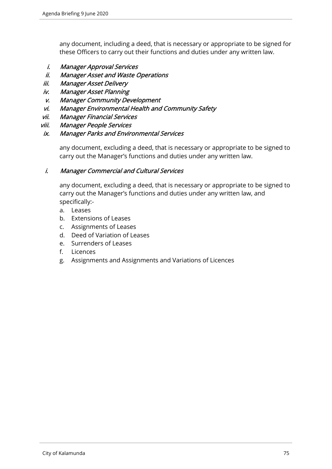any document, including a deed, that is necessary or appropriate to be signed for these Officers to carry out their functions and duties under any written law.

- i. Manager Approval Services
- ii. Manager Asset and Waste Operations
- iii. Manager Asset Delivery
- iv. Manager Asset Planning
- v. Manager Community Development
- vi. Manager Environmental Health and Community Safety
- vii. Manager Financial Services
- viii. Manager People Services

# ix. Manager Parks and Environmental Services

any document, excluding a deed, that is necessary or appropriate to be signed to carry out the Manager's functions and duties under any written law.

# i. Manager Commercial and Cultural Services

any document, excluding a deed, that is necessary or appropriate to be signed to carry out the Manager's functions and duties under any written law, and specifically:-

- a. Leases
- b. Extensions of Leases
- c. Assignments of Leases
- d. Deed of Variation of Leases
- e. Surrenders of Leases
- f. Licences
- g. Assignments and Assignments and Variations of Licences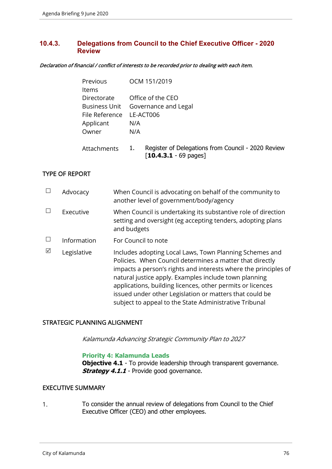# **10.4.3. Delegations from Council to the Chief Executive Officer - 2020 Review**

Declaration of financial / conflict of interests to be recorded prior to dealing with each item.

| Previous       | OCM 151/2019                                                                                            |
|----------------|---------------------------------------------------------------------------------------------------------|
| Items          |                                                                                                         |
| Directorate    | Office of the CEO                                                                                       |
|                | Business Unit Governance and Legal                                                                      |
| File Reference | LE-ACT006                                                                                               |
| Applicant      | N/A                                                                                                     |
| Owner          | N/A                                                                                                     |
| Attachments    | Register of Delegations from Council - 2020 Review<br>1.<br>$\lceil 10.4.3.1 - 69 \text{ pages} \rceil$ |

# TYPE OF REPORT

|   | Advocacy    | When Council is advocating on behalf of the community to<br>another level of government/body/agency                                                                                                                                                                                                                                                                                                                                |
|---|-------------|------------------------------------------------------------------------------------------------------------------------------------------------------------------------------------------------------------------------------------------------------------------------------------------------------------------------------------------------------------------------------------------------------------------------------------|
|   | Executive   | When Council is undertaking its substantive role of direction<br>setting and oversight (eg accepting tenders, adopting plans<br>and budgets                                                                                                                                                                                                                                                                                        |
|   | Information | For Council to note                                                                                                                                                                                                                                                                                                                                                                                                                |
| ⊠ | Legislative | Includes adopting Local Laws, Town Planning Schemes and<br>Policies. When Council determines a matter that directly<br>impacts a person's rights and interests where the principles of<br>natural justice apply. Examples include town planning<br>applications, building licences, other permits or licences<br>issued under other Legislation or matters that could be<br>subject to appeal to the State Administrative Tribunal |

# STRATEGIC PLANNING ALIGNMENT

Kalamunda Advancing Strategic Community Plan to 2027

#### **Priority 4: Kalamunda Leads**

**Objective 4.1** - To provide leadership through transparent governance. **Strategy 4.1.1** - Provide good governance.

# EXECUTIVE SUMMARY

1. To consider the annual review of delegations from Council to the Chief Executive Officer (CEO) and other employees.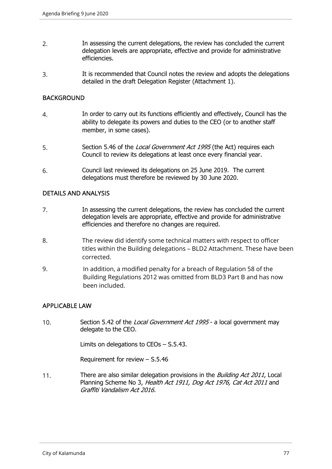- 2. In assessing the current delegations, the review has concluded the current delegation levels are appropriate, effective and provide for administrative efficiencies.
- 3. It is recommended that Council notes the review and adopts the delegations detailed in the draft Delegation Register (Attachment 1).

# **BACKGROUND**

- 4. In order to carry out its functions efficiently and effectively, Council has the ability to delegate its powers and duties to the CEO (or to another staff member, in some cases).
- 5. Section 5.46 of the Local Government Act 1995 (the Act) requires each Council to review its delegations at least once every financial year.
- 6. Council last reviewed its delegations on 25 June 2019. The current delegations must therefore be reviewed by 30 June 2020.

# DETAILS AND ANALYSIS

- 7. In assessing the current delegations, the review has concluded the current delegation levels are appropriate, effective and provide for administrative efficiencies and therefore no changes are required.
- 8. The review did identify some technical matters with respect to officer titles within the Building delegations – BLD2 Attachment. These have been corrected.
- 9. In addition, a modified penalty for a breach of Regulation 58 of the Building Regulations 2012 was omitted from BLD3 Part B and has now been included.

# APPLICABLE LAW

10. Section 5.42 of the *Local Government Act 1995* - a local government may delegate to the CEO.

Limits on delegations to CEOs – S.5.43.

Requirement for review – S.5.46

11. There are also similar delegation provisions in the *Building Act 2011*, Local Planning Scheme No 3, Health Act 1911, Dog Act 1976, Cat Act 2011 and Graffiti Vandalism Act 2016.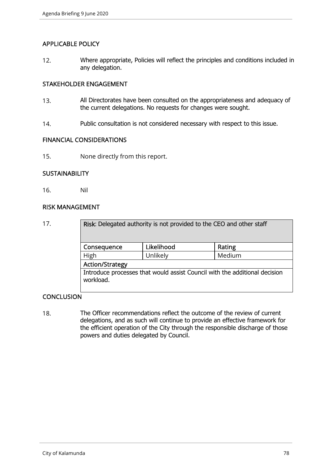# APPLICABLE POLICY

12. Where appropriate, Policies will reflect the principles and conditions included in any delegation.

# STAKEHOLDER ENGAGEMENT

- 13. All Directorates have been consulted on the appropriateness and adequacy of the current delegations. No requests for changes were sought.
- 14. Public consultation is not considered necessary with respect to this issue.

#### FINANCIAL CONSIDERATIONS

15. None directly from this report.

# **SUSTAINABILITY**

16. Nil

### RISK MANAGEMENT

| 17. | Risk: Delegated authority is not provided to the CEO and other staff                    |            |        |  |  |
|-----|-----------------------------------------------------------------------------------------|------------|--------|--|--|
|     | Consequence                                                                             | Likelihood | Rating |  |  |
|     | High                                                                                    | Unlikely   | Medium |  |  |
|     | <b>Action/Strategy</b>                                                                  |            |        |  |  |
|     | Introduce processes that would assist Council with the additional decision<br>workload. |            |        |  |  |

# **CONCLUSION**

18. The Officer recommendations reflect the outcome of the review of current delegations, and as such will continue to provide an effective framework for the efficient operation of the City through the responsible discharge of those powers and duties delegated by Council.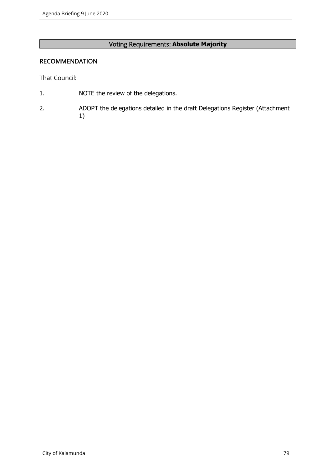# Voting Requirements: **Absolute Majority**

#### RECOMMENDATION

That Council:

- 1. NOTE the review of the delegations.
- 2. ADOPT the delegations detailed in the draft Delegations Register (Attachment 1)